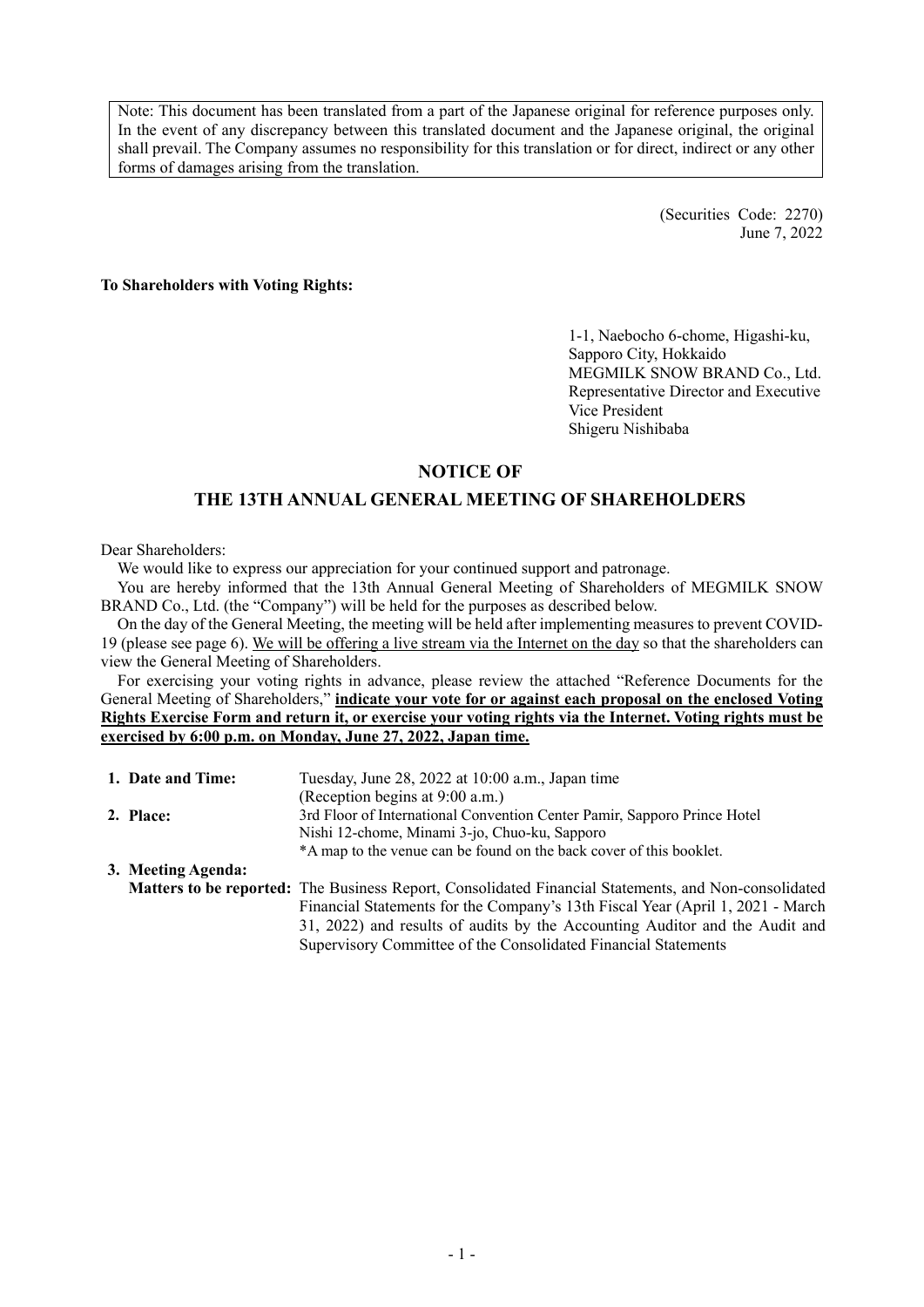Note: This document has been translated from a part of the Japanese original for reference purposes only. In the event of any discrepancy between this translated document and the Japanese original, the original shall prevail. The Company assumes no responsibility for this translation or for direct, indirect or any other forms of damages arising from the translation.

> (Securities Code: 2270) June 7, 2022

**To Shareholders with Voting Rights:** 

1-1, Naebocho 6-chome, Higashi-ku, Sapporo City, Hokkaido MEGMILK SNOW BRAND Co., Ltd. Representative Director and Executive Vice President Shigeru Nishibaba

### **NOTICE OF**

# **THE 13TH ANNUAL GENERAL MEETING OF SHAREHOLDERS**

Dear Shareholders:

We would like to express our appreciation for your continued support and patronage.

You are hereby informed that the 13th Annual General Meeting of Shareholders of MEGMILK SNOW BRAND Co., Ltd. (the "Company") will be held for the purposes as described below.

On the day of the General Meeting, the meeting will be held after implementing measures to prevent COVID-19 (please see page 6). We will be offering a live stream via the Internet on the day so that the shareholders can view the General Meeting of Shareholders.

For exercising your voting rights in advance, please review the attached "Reference Documents for the General Meeting of Shareholders," **indicate your vote for or against each proposal on the enclosed Voting Rights Exercise Form and return it, or exercise your voting rights via the Internet. Voting rights must be exercised by 6:00 p.m. on Monday, June 27, 2022, Japan time.**

| 1. Date and Time:  | Tuesday, June 28, 2022 at 10:00 a.m., Japan time                                                     |
|--------------------|------------------------------------------------------------------------------------------------------|
|                    | (Reception begins at 9:00 a.m.)                                                                      |
| 2. Place:          | 3rd Floor of International Convention Center Pamir, Sapporo Prince Hotel                             |
|                    | Nishi 12-chome, Minami 3-jo, Chuo-ku, Sapporo                                                        |
|                    | *A map to the venue can be found on the back cover of this booklet.                                  |
| 3. Meeting Agenda: |                                                                                                      |
|                    | Matters to be reported: The Business Report, Consolidated Financial Statements, and Non-consolidated |
|                    | Financial Statements for the Company's 13th Fiscal Year (April 1, 2021 - March                       |
|                    | 31, 2022) and results of audits by the Accounting Auditor and the Audit and                          |
|                    | Supervisory Committee of the Consolidated Financial Statements                                       |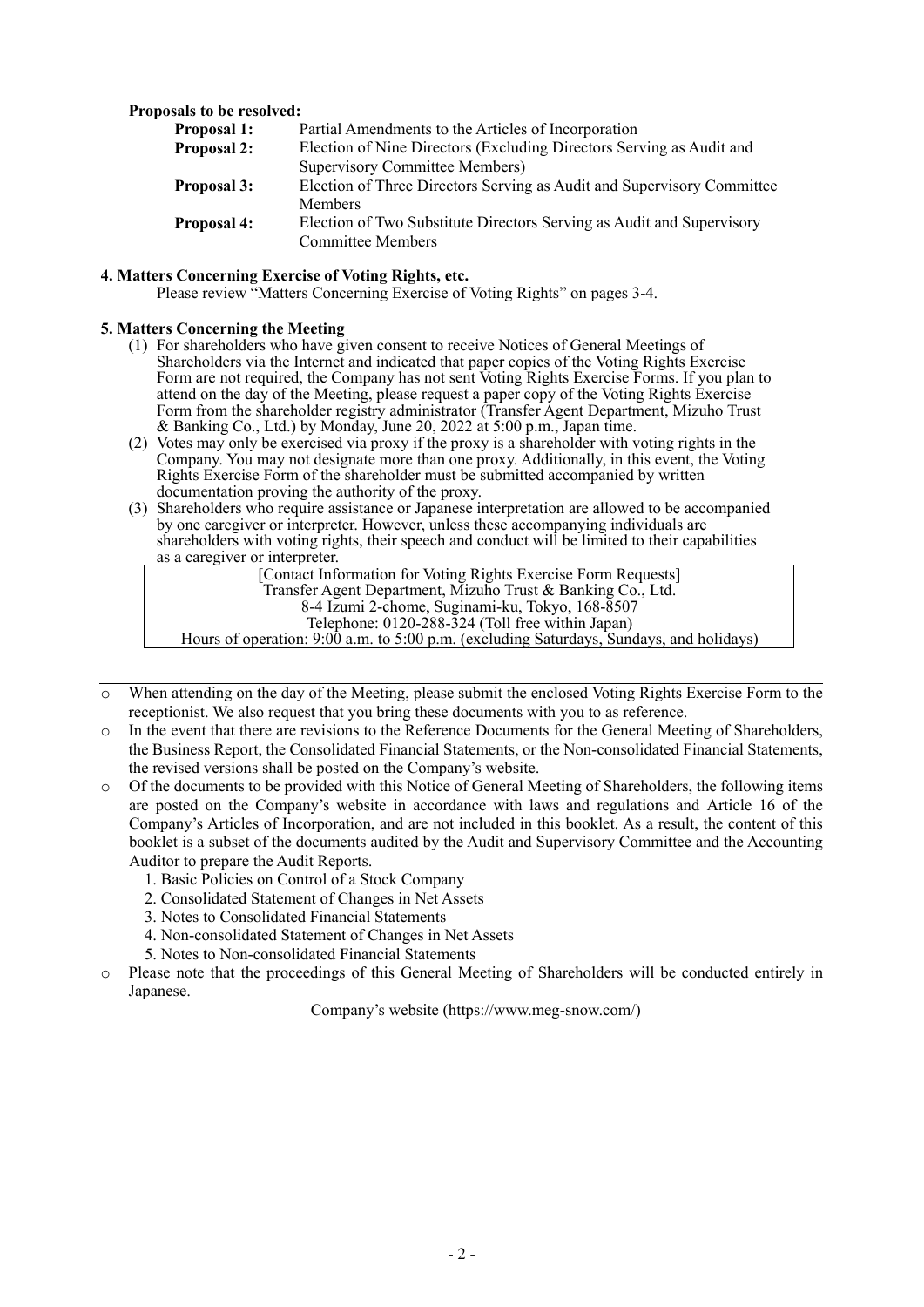### **Proposals to be resolved:**

| Partial Amendments to the Articles of Incorporation                                        |  |  |  |
|--------------------------------------------------------------------------------------------|--|--|--|
| Election of Nine Directors (Excluding Directors Serving as Audit and<br><b>Proposal 2:</b> |  |  |  |
| <b>Supervisory Committee Members)</b>                                                      |  |  |  |
| Election of Three Directors Serving as Audit and Supervisory Committee                     |  |  |  |
| <b>Members</b>                                                                             |  |  |  |
| Election of Two Substitute Directors Serving as Audit and Supervisory                      |  |  |  |
| <b>Committee Members</b>                                                                   |  |  |  |
|                                                                                            |  |  |  |

### **4. Matters Concerning Exercise of Voting Rights, etc.**

Please review "Matters Concerning Exercise of Voting Rights" on pages 3-4.

#### **5. Matters Concerning the Meeting**

- (1) For shareholders who have given consent to receive Notices of General Meetings of Shareholders via the Internet and indicated that paper copies of the Voting Rights Exercise Form are not required, the Company has not sent Voting Rights Exercise Forms. If you plan to attend on the day of the Meeting, please request a paper copy of the Voting Rights Exercise Form from the shareholder registry administrator (Transfer Agent Department, Mizuho Trust & Banking Co., Ltd.) by Monday, June 20, 2022 at 5:00 p.m., Japan time.
- (2) Votes may only be exercised via proxy if the proxy is a shareholder with voting rights in the Company. You may not designate more than one proxy. Additionally, in this event, the Voting Rights Exercise Form of the shareholder must be submitted accompanied by written documentation proving the authority of the proxy.
- (3) Shareholders who require assistance or Japanese interpretation are allowed to be accompanied by one caregiver or interpreter. However, unless these accompanying individuals are shareholders with voting rights, their speech and conduct will be limited to their capabilities as a caregiver or interpreter.

| [Contact Information for Voting Rights Exercise Form Requests]                          |  |
|-----------------------------------------------------------------------------------------|--|
| Transfer Agent Department, Mizuho Trust & Banking Co., Ltd.                             |  |
| 8-4 Izumi 2-chome, Suginami-ku, Tokyo, 168-8507                                         |  |
| Telephone: 0120-288-324 (Toll free within Japan)                                        |  |
| Hours of operation: 9:00 a.m. to 5:00 p.m. (excluding Saturdays, Sundays, and holidays) |  |
|                                                                                         |  |

- o When attending on the day of the Meeting, please submit the enclosed Voting Rights Exercise Form to the receptionist. We also request that you bring these documents with you to as reference.
- o In the event that there are revisions to the Reference Documents for the General Meeting of Shareholders, the Business Report, the Consolidated Financial Statements, or the Non-consolidated Financial Statements, the revised versions shall be posted on the Company's website.
- o Of the documents to be provided with this Notice of General Meeting of Shareholders, the following items are posted on the Company's website in accordance with laws and regulations and Article 16 of the Company's Articles of Incorporation, and are not included in this booklet. As a result, the content of this booklet is a subset of the documents audited by the Audit and Supervisory Committee and the Accounting Auditor to prepare the Audit Reports.
	- 1. Basic Policies on Control of a Stock Company
	- 2. Consolidated Statement of Changes in Net Assets
	- 3. Notes to Consolidated Financial Statements
	- 4. Non-consolidated Statement of Changes in Net Assets
	- 5. Notes to Non-consolidated Financial Statements
- o Please note that the proceedings of this General Meeting of Shareholders will be conducted entirely in Japanese.

Company's website (https://www.meg-snow.com/)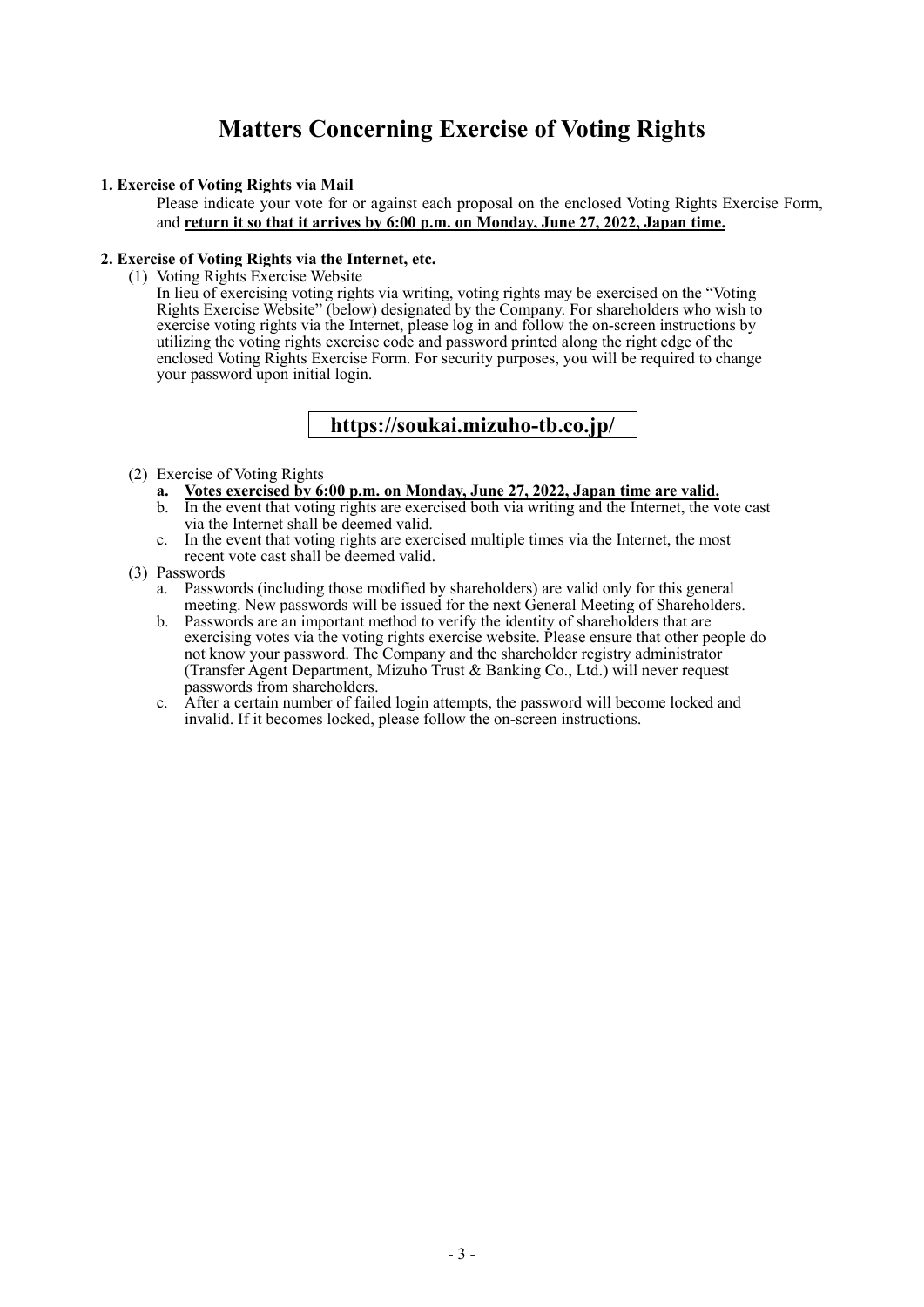# **Matters Concerning Exercise of Voting Rights**

### **1. Exercise of Voting Rights via Mail**

Please indicate your vote for or against each proposal on the enclosed Voting Rights Exercise Form, and **return it so that it arrives by 6:00 p.m. on Monday, June 27, 2022, Japan time.**

### **2. Exercise of Voting Rights via the Internet, etc.**

(1) Voting Rights Exercise Website

In lieu of exercising voting rights via writing, voting rights may be exercised on the "Voting Rights Exercise Website" (below) designated by the Company. For shareholders who wish to exercise voting rights via the Internet, please log in and follow the on-screen instructions by utilizing the voting rights exercise code and password printed along the right edge of the enclosed Voting Rights Exercise Form. For security purposes, you will be required to change your password upon initial login.

# **https://soukai.mizuho-tb.co.jp/**

### (2) Exercise of Voting Rights

- **a. Votes exercised by 6:00 p.m. on Monday, June 27, 2022, Japan time are valid.**
- b. In the event that voting rights are exercised both via writing and the Internet, the vote cast via the Internet shall be deemed valid.
- c. In the event that voting rights are exercised multiple times via the Internet, the most recent vote cast shall be deemed valid.

### (3) Passwords

- a. Passwords (including those modified by shareholders) are valid only for this general meeting. New passwords will be issued for the next General Meeting of Shareholders.
- b. Passwords are an important method to verify the identity of shareholders that are exercising votes via the voting rights exercise website. Please ensure that other people do not know your password. The Company and the shareholder registry administrator (Transfer Agent Department, Mizuho Trust & Banking Co., Ltd.) will never request passwords from shareholders.
- c. After a certain number of failed login attempts, the password will become locked and invalid. If it becomes locked, please follow the on-screen instructions.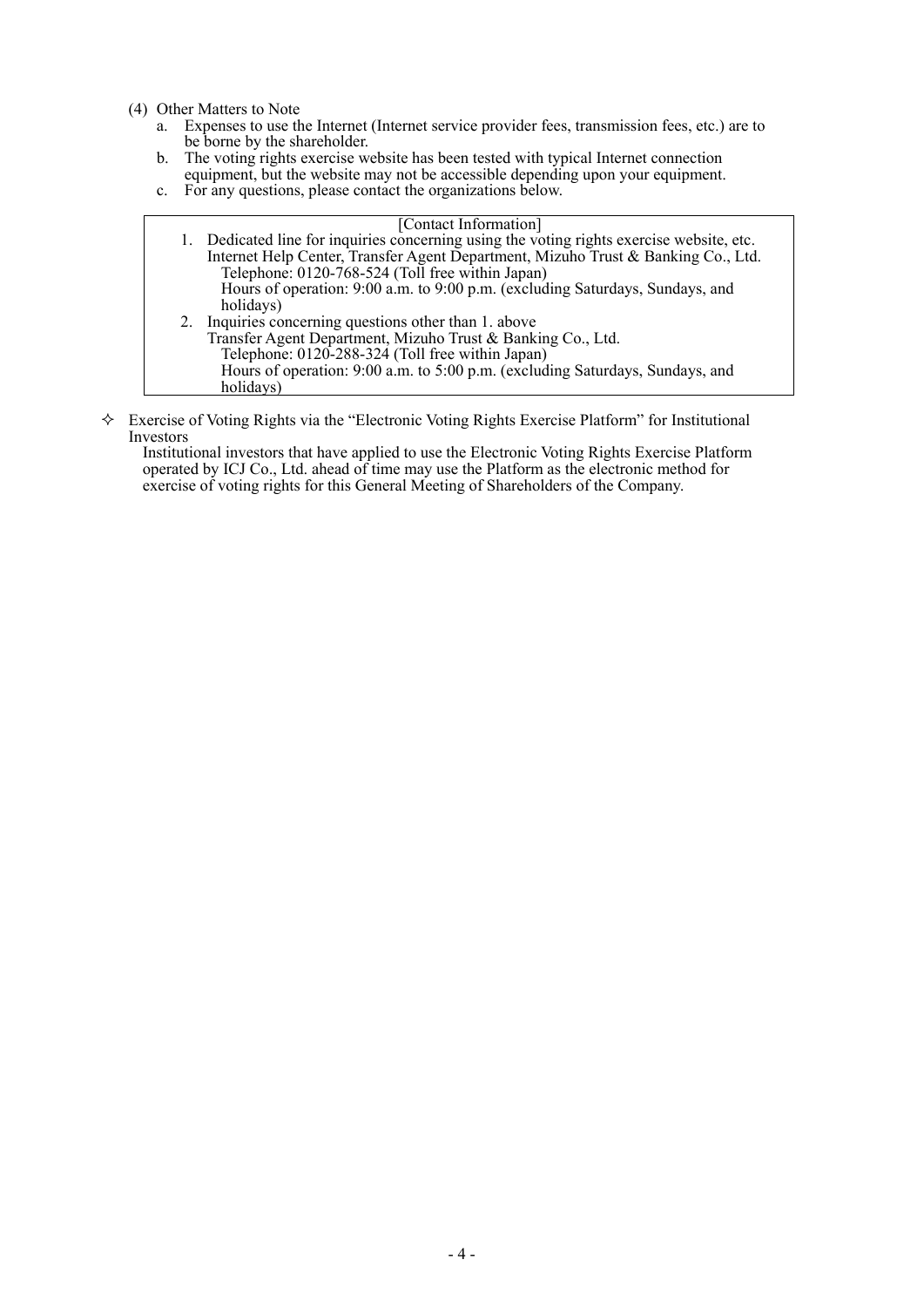- (4) Other Matters to Note
	- Expenses to use the Internet (Internet service provider fees, transmission fees, etc.) are to be borne by the shareholder.
	- b. The voting rights exercise website has been tested with typical Internet connection equipment, but the website may not be accessible depending upon your equipment.
	- c. For any questions, please contact the organizations below.

|  | [Contact Information]                                                                     |
|--|-------------------------------------------------------------------------------------------|
|  | 1. Dedicated line for inquiries concerning using the voting rights exercise website, etc. |
|  | Internet Help Center, Transfer Agent Department, Mizuho Trust & Banking Co., Ltd.         |
|  | Telephone: 0120-768-524 (Toll free within Japan)                                          |
|  | Hours of operation: 9:00 a.m. to 9:00 p.m. (excluding Saturdays, Sundays, and             |
|  | holidays)                                                                                 |
|  | 2. Inquiries concerning questions other than 1. above                                     |
|  | Transfer Agent Department, Mizuho Trust & Banking Co., Ltd.                               |
|  | Telephone: 0120-288-324 (Toll free within Japan)                                          |
|  | Hours of operation: 9:00 a.m. to 5:00 p.m. (excluding Saturdays, Sundays, and             |
|  | holidays)                                                                                 |

 Exercise of Voting Rights via the "Electronic Voting Rights Exercise Platform" for Institutional Investors

Institutional investors that have applied to use the Electronic Voting Rights Exercise Platform operated by ICJ Co., Ltd. ahead of time may use the Platform as the electronic method for exercise of voting rights for this General Meeting of Shareholders of the Company.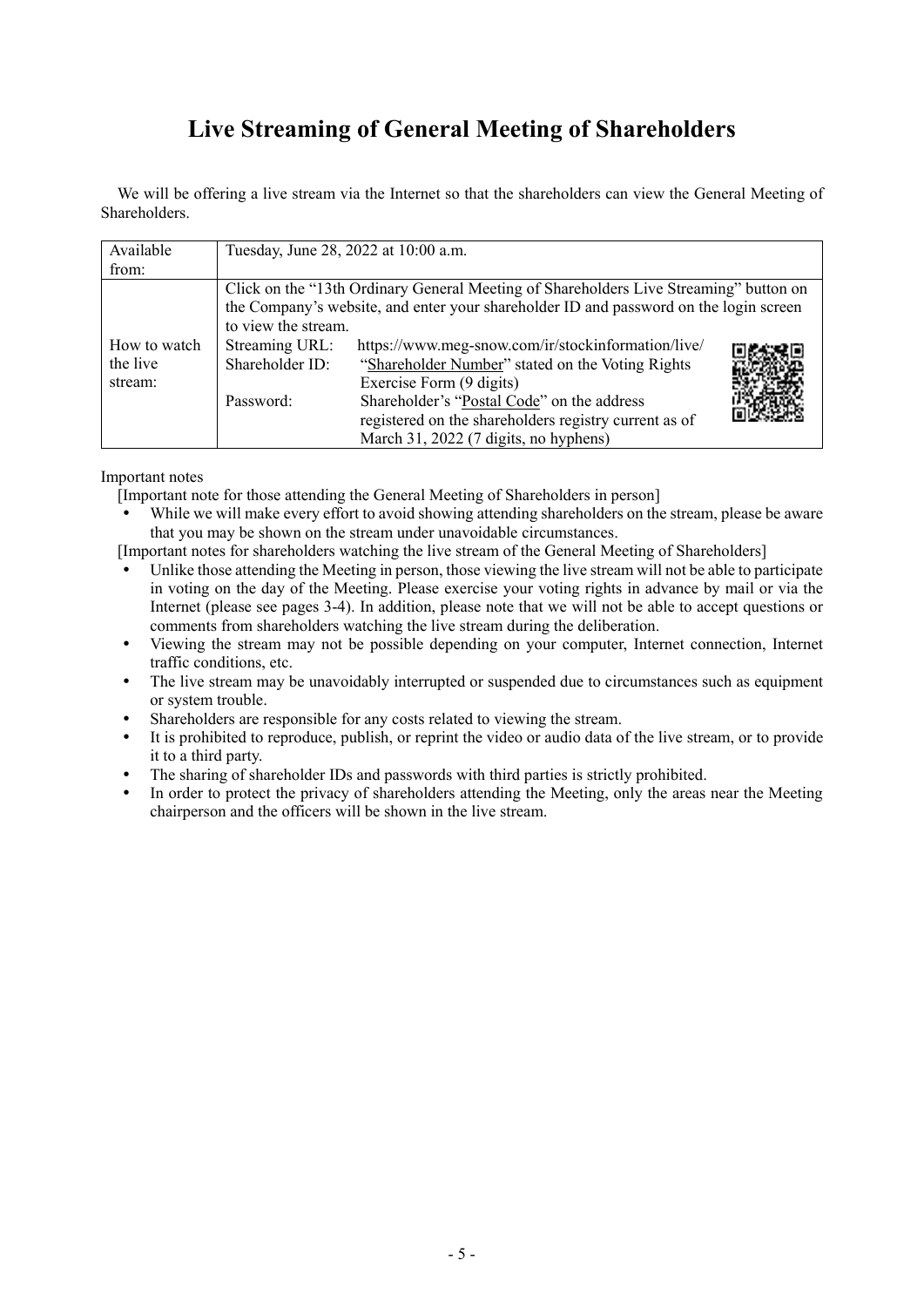# **Live Streaming of General Meeting of Shareholders**

We will be offering a live stream via the Internet so that the shareholders can view the General Meeting of Shareholders.

| Available                                                                                                                                                                                             |                                   | Tuesday, June 28, 2022 at 10:00 a.m.                                                                                                         |  |  |  |
|-------------------------------------------------------------------------------------------------------------------------------------------------------------------------------------------------------|-----------------------------------|----------------------------------------------------------------------------------------------------------------------------------------------|--|--|--|
| from:                                                                                                                                                                                                 |                                   |                                                                                                                                              |  |  |  |
| Click on the "13th Ordinary General Meeting of Shareholders Live Streaming" button on<br>the Company's website, and enter your shareholder ID and password on the login screen<br>to view the stream. |                                   |                                                                                                                                              |  |  |  |
| How to watch<br>the live<br>stream:                                                                                                                                                                   | Streaming URL:<br>Shareholder ID: | https://www.meg-snow.com/ir/stockinformation/live/<br>"Shareholder Number" stated on the Voting Rights<br>Exercise Form (9 digits)           |  |  |  |
|                                                                                                                                                                                                       | Password:                         | Shareholder's "Postal Code" on the address<br>registered on the shareholders registry current as of<br>March 31, 2022 (7 digits, no hyphens) |  |  |  |

Important notes

[Important note for those attending the General Meeting of Shareholders in person]

 While we will make every effort to avoid showing attending shareholders on the stream, please be aware that you may be shown on the stream under unavoidable circumstances.

[Important notes for shareholders watching the live stream of the General Meeting of Shareholders]

- Unlike those attending the Meeting in person, those viewing the live stream will not be able to participate in voting on the day of the Meeting. Please exercise your voting rights in advance by mail or via the Internet (please see pages 3-4). In addition, please note that we will not be able to accept questions or comments from shareholders watching the live stream during the deliberation.
- Viewing the stream may not be possible depending on your computer, Internet connection, Internet traffic conditions, etc.
- The live stream may be unavoidably interrupted or suspended due to circumstances such as equipment or system trouble.
- Shareholders are responsible for any costs related to viewing the stream.
- It is prohibited to reproduce, publish, or reprint the video or audio data of the live stream, or to provide it to a third party.
- The sharing of shareholder IDs and passwords with third parties is strictly prohibited.
- In order to protect the privacy of shareholders attending the Meeting, only the areas near the Meeting chairperson and the officers will be shown in the live stream.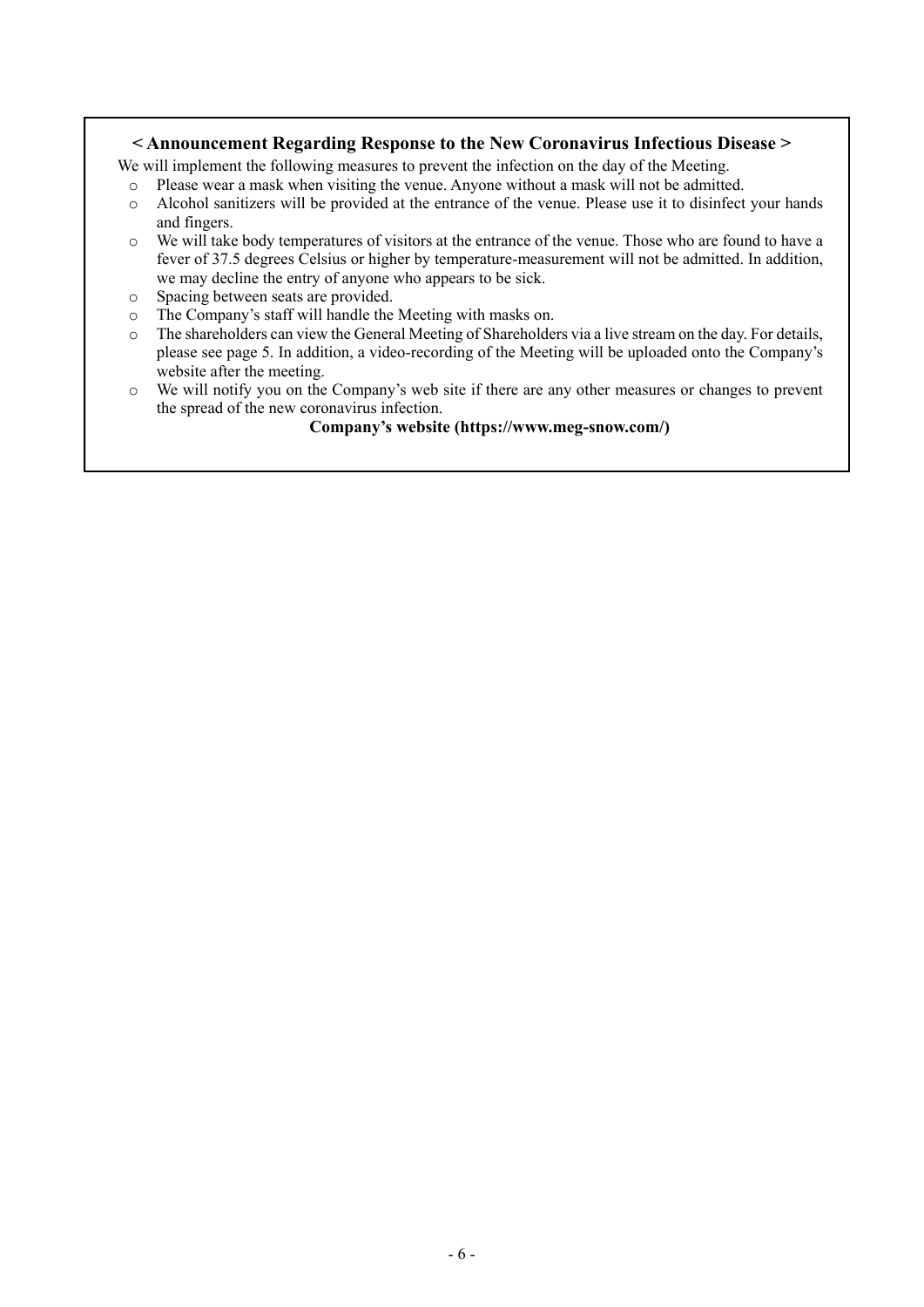### **< Announcement Regarding Response to the New Coronavirus Infectious Disease >**

We will implement the following measures to prevent the infection on the day of the Meeting.

- o Please wear a mask when visiting the venue. Anyone without a mask will not be admitted.
- o Alcohol sanitizers will be provided at the entrance of the venue. Please use it to disinfect your hands and fingers.
- o We will take body temperatures of visitors at the entrance of the venue. Those who are found to have a fever of 37.5 degrees Celsius or higher by temperature-measurement will not be admitted. In addition, we may decline the entry of anyone who appears to be sick.
- o Spacing between seats are provided.

 $\overline{a}$ 

- o The Company's staff will handle the Meeting with masks on.
- o The shareholders can view the General Meeting of Shareholders via a live stream on the day. For details, please see page 5. In addition, a video-recording of the Meeting will be uploaded onto the Company's website after the meeting.
- o We will notify you on the Company's web site if there are any other measures or changes to prevent the spread of the new coronavirus infection.

**Company's website (https://www.meg-snow.com/)**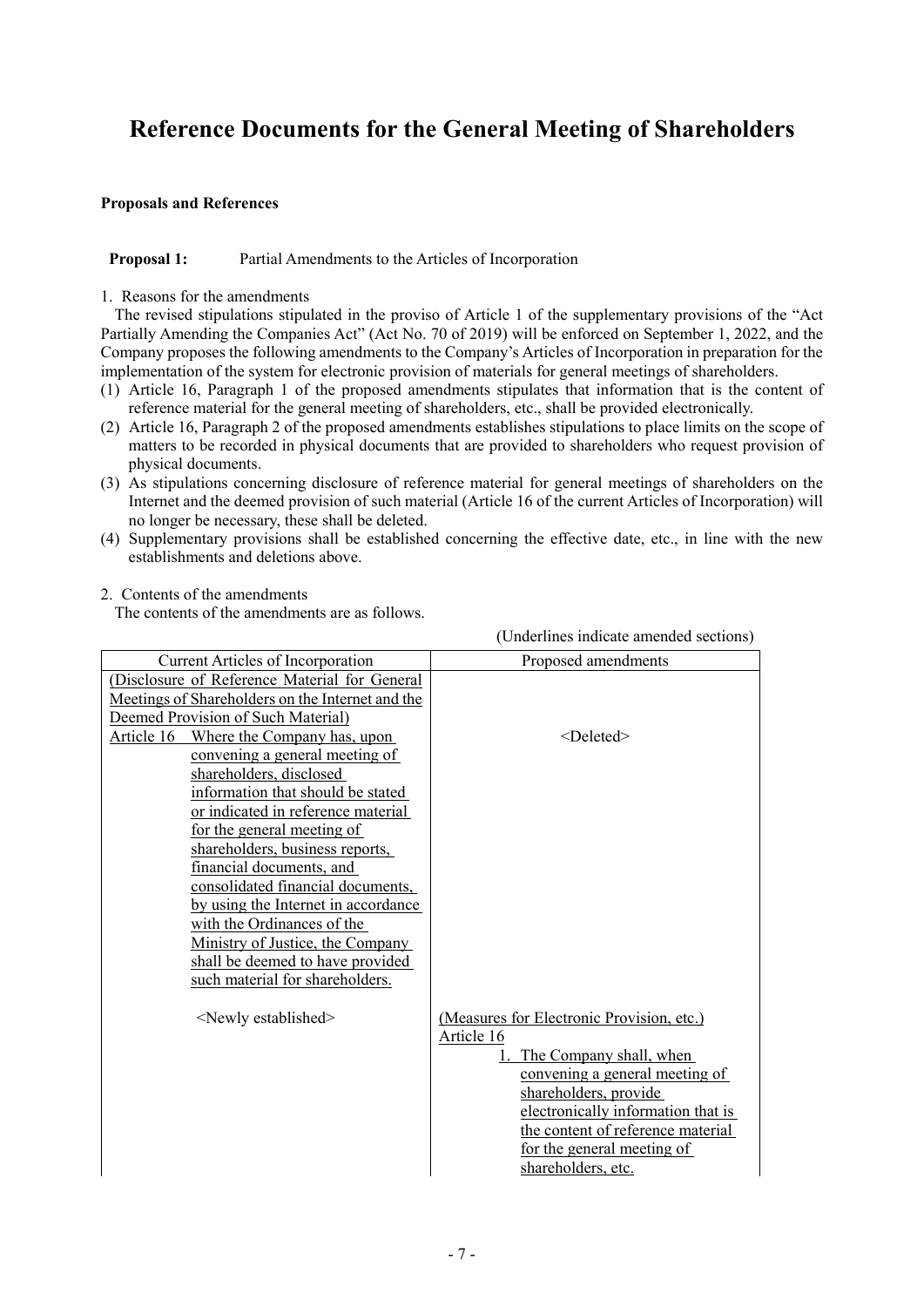# **Reference Documents for the General Meeting of Shareholders**

### **Proposals and References**

### **Proposal 1:** Partial Amendments to the Articles of Incorporation

1. Reasons for the amendments

The revised stipulations stipulated in the proviso of Article 1 of the supplementary provisions of the "Act Partially Amending the Companies Act" (Act No. 70 of 2019) will be enforced on September 1, 2022, and the Company proposes the following amendments to the Company's Articles of Incorporation in preparation for the implementation of the system for electronic provision of materials for general meetings of shareholders.

- (1) Article 16, Paragraph 1 of the proposed amendments stipulates that information that is the content of reference material for the general meeting of shareholders, etc., shall be provided electronically.
- (2) Article 16, Paragraph 2 of the proposed amendments establishes stipulations to place limits on the scope of matters to be recorded in physical documents that are provided to shareholders who request provision of physical documents.
- (3) As stipulations concerning disclosure of reference material for general meetings of shareholders on the Internet and the deemed provision of such material (Article 16 of the current Articles of Incorporation) will no longer be necessary, these shall be deleted.
- (4) Supplementary provisions shall be established concerning the effective date, etc., in line with the new establishments and deletions above.

(Underlines indicate amended sections)

### 2. Contents of the amendments

The contents of the amendments are as follows.

|                                                  | $\alpha$ chuchines muicate amended sections |
|--------------------------------------------------|---------------------------------------------|
| Current Articles of Incorporation                | Proposed amendments                         |
| (Disclosure of Reference Material for General    |                                             |
| Meetings of Shareholders on the Internet and the |                                             |
| Deemed Provision of Such Material)               |                                             |
| Article 16<br>Where the Company has, upon        | <deleted></deleted>                         |
| convening a general meeting of                   |                                             |
| shareholders, disclosed                          |                                             |
| information that should be stated                |                                             |
| or indicated in reference material               |                                             |
| for the general meeting of                       |                                             |
| shareholders, business reports,                  |                                             |
| financial documents, and                         |                                             |
| consolidated financial documents,                |                                             |
| by using the Internet in accordance              |                                             |
| with the Ordinances of the                       |                                             |
| Ministry of Justice, the Company                 |                                             |
| shall be deemed to have provided                 |                                             |
| such material for shareholders.                  |                                             |
|                                                  |                                             |
| <newly established=""></newly>                   | (Measures for Electronic Provision, etc.)   |
|                                                  | Article 16                                  |
|                                                  | 1. The Company shall, when                  |
|                                                  | convening a general meeting of              |
|                                                  | shareholders, provide                       |
|                                                  | electronically information that is          |
|                                                  | the content of reference material           |
|                                                  | for the general meeting of                  |
|                                                  | shareholders, etc.                          |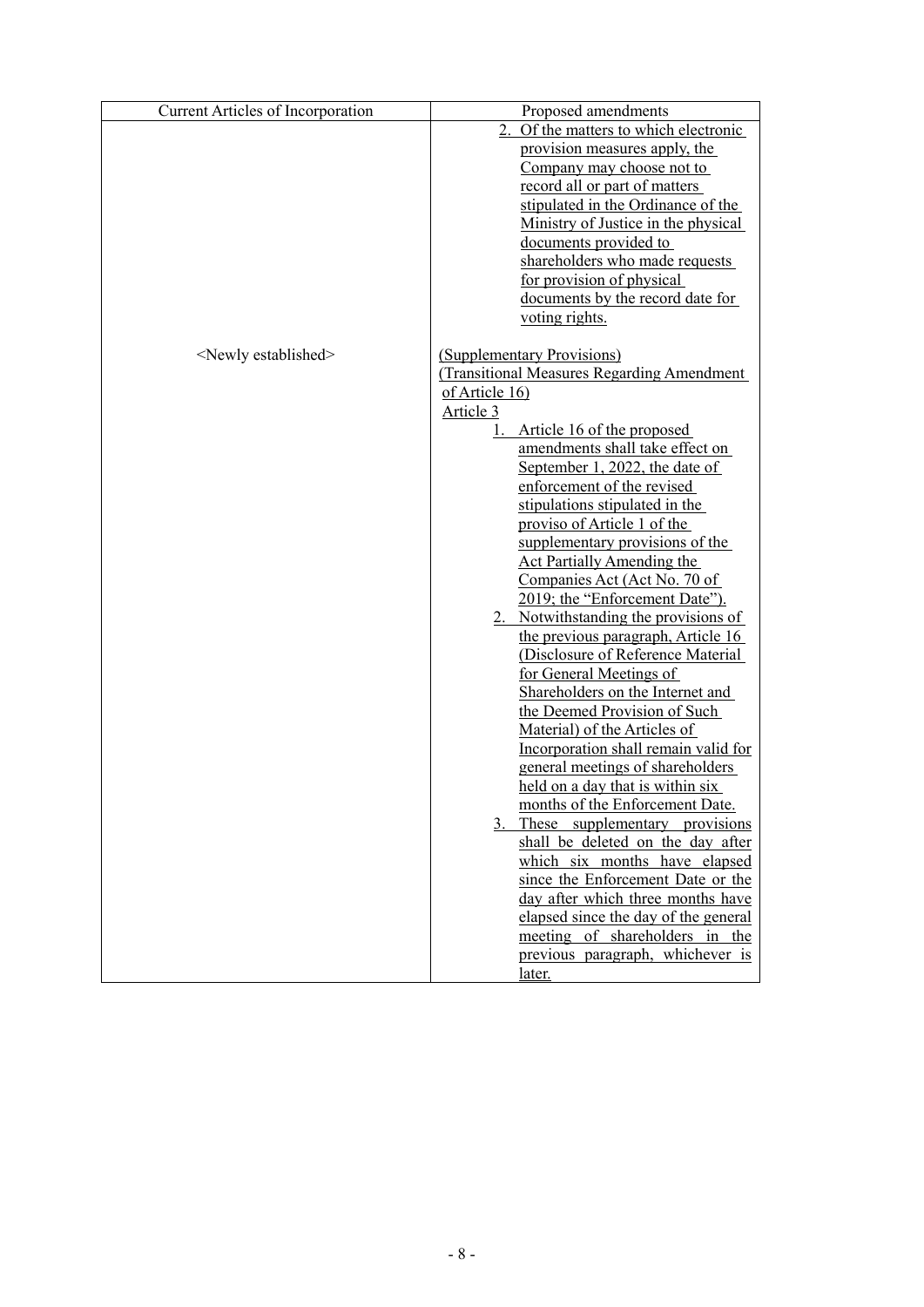| <b>Current Articles of Incorporation</b> | Proposed amendments                        |
|------------------------------------------|--------------------------------------------|
|                                          | 2.<br>Of the matters to which electronic   |
|                                          | provision measures apply, the              |
|                                          | Company may choose not to                  |
|                                          | record all or part of matters              |
|                                          | stipulated in the Ordinance of the         |
|                                          | Ministry of Justice in the physical        |
|                                          | documents provided to                      |
|                                          | shareholders who made requests             |
|                                          | for provision of physical                  |
|                                          | documents by the record date for           |
|                                          | voting rights.                             |
| <newly established=""></newly>           | (Supplementary Provisions)                 |
|                                          | (Transitional Measures Regarding Amendment |
|                                          | of Article 16)                             |
|                                          | <u>Article 3</u>                           |
|                                          | Article 16 of the proposed<br>1.           |
|                                          | amendments shall take effect on            |
|                                          | September 1, 2022, the date of             |
|                                          | enforcement of the revised                 |
|                                          | stipulations stipulated in the             |
|                                          | proviso of Article 1 of the                |
|                                          | supplementary provisions of the            |
|                                          | <b>Act Partially Amending the</b>          |
|                                          | Companies Act (Act No. 70 of               |
|                                          | 2019; the "Enforcement Date").             |
|                                          | 2. Notwithstanding the provisions of       |
|                                          | the previous paragraph, Article 16         |
|                                          | (Disclosure of Reference Material          |
|                                          | for General Meetings of                    |
|                                          | Shareholders on the Internet and           |
|                                          | the Deemed Provision of Such               |
|                                          | Material) of the Articles of               |
|                                          | Incorporation shall remain valid for       |
|                                          | general meetings of shareholders           |
|                                          | held on a day that is within six           |
|                                          | months of the Enforcement Date.            |
|                                          | These supplementary provisions<br>3.       |
|                                          | shall be deleted on the day after          |
|                                          | which six months have elapsed              |
|                                          | since the Enforcement Date or the          |
|                                          | day after which three months have          |
|                                          | elapsed since the day of the general       |
|                                          | meeting of shareholders in the             |
|                                          | previous paragraph, whichever is           |
|                                          | later.                                     |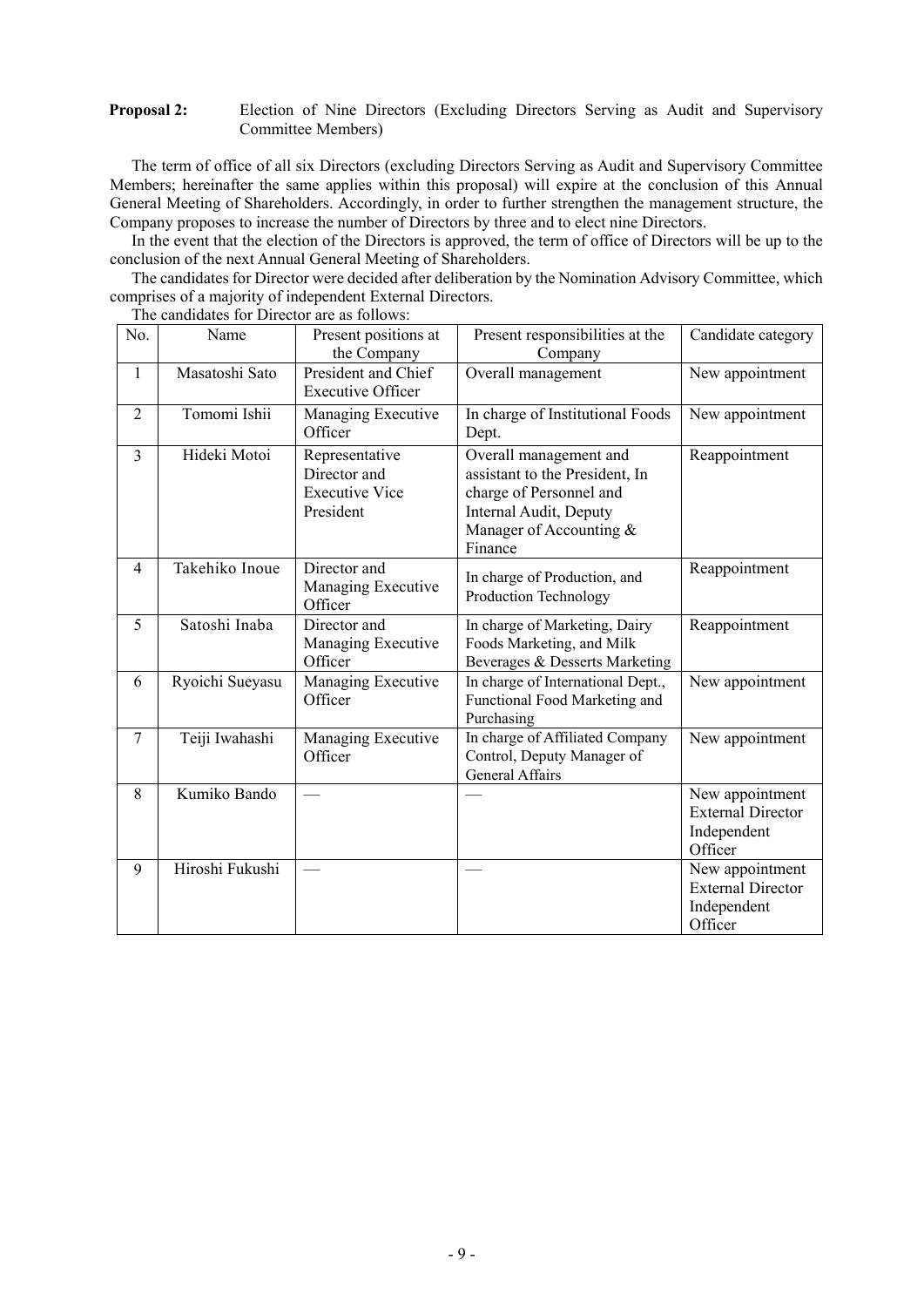### **Proposal 2:** Election of Nine Directors (Excluding Directors Serving as Audit and Supervisory Committee Members)

The term of office of all six Directors (excluding Directors Serving as Audit and Supervisory Committee Members; hereinafter the same applies within this proposal) will expire at the conclusion of this Annual General Meeting of Shareholders. Accordingly, in order to further strengthen the management structure, the Company proposes to increase the number of Directors by three and to elect nine Directors.

In the event that the election of the Directors is approved, the term of office of Directors will be up to the conclusion of the next Annual General Meeting of Shareholders.

The candidates for Director were decided after deliberation by the Nomination Advisory Committee, which comprises of a majority of independent External Directors.

| No.            | Name            | Present positions at<br>the Company                                  | Present responsibilities at the<br>Company                                                                                                          | Candidate category                                                    |
|----------------|-----------------|----------------------------------------------------------------------|-----------------------------------------------------------------------------------------------------------------------------------------------------|-----------------------------------------------------------------------|
| $\mathbf{1}$   | Masatoshi Sato  | President and Chief<br><b>Executive Officer</b>                      | Overall management                                                                                                                                  | New appointment                                                       |
| $\overline{2}$ | Tomomi Ishii    | Managing Executive<br>Officer                                        | In charge of Institutional Foods<br>Dept.                                                                                                           | New appointment                                                       |
| $\overline{3}$ | Hideki Motoi    | Representative<br>Director and<br><b>Executive Vice</b><br>President | Overall management and<br>assistant to the President, In<br>charge of Personnel and<br>Internal Audit, Deputy<br>Manager of Accounting &<br>Finance | Reappointment                                                         |
| $\overline{4}$ | Takehiko Inoue  | Director and<br>Managing Executive<br>Officer                        | In charge of Production, and<br>Production Technology                                                                                               | Reappointment                                                         |
| 5              | Satoshi Inaba   | Director and<br>Managing Executive<br>Officer                        | In charge of Marketing, Dairy<br>Foods Marketing, and Milk<br>Beverages & Desserts Marketing                                                        | Reappointment                                                         |
| 6              | Ryoichi Sueyasu | Managing Executive<br>Officer                                        | In charge of International Dept.,<br>Functional Food Marketing and<br>Purchasing                                                                    | New appointment                                                       |
| $\tau$         | Teiji Iwahashi  | Managing Executive<br>Officer                                        | In charge of Affiliated Company<br>Control, Deputy Manager of<br>General Affairs                                                                    | New appointment                                                       |
| 8              | Kumiko Bando    |                                                                      |                                                                                                                                                     | New appointment<br><b>External Director</b><br>Independent<br>Officer |
| 9              | Hiroshi Fukushi |                                                                      |                                                                                                                                                     | New appointment<br><b>External Director</b><br>Independent<br>Officer |

The candidates for Director are as follows: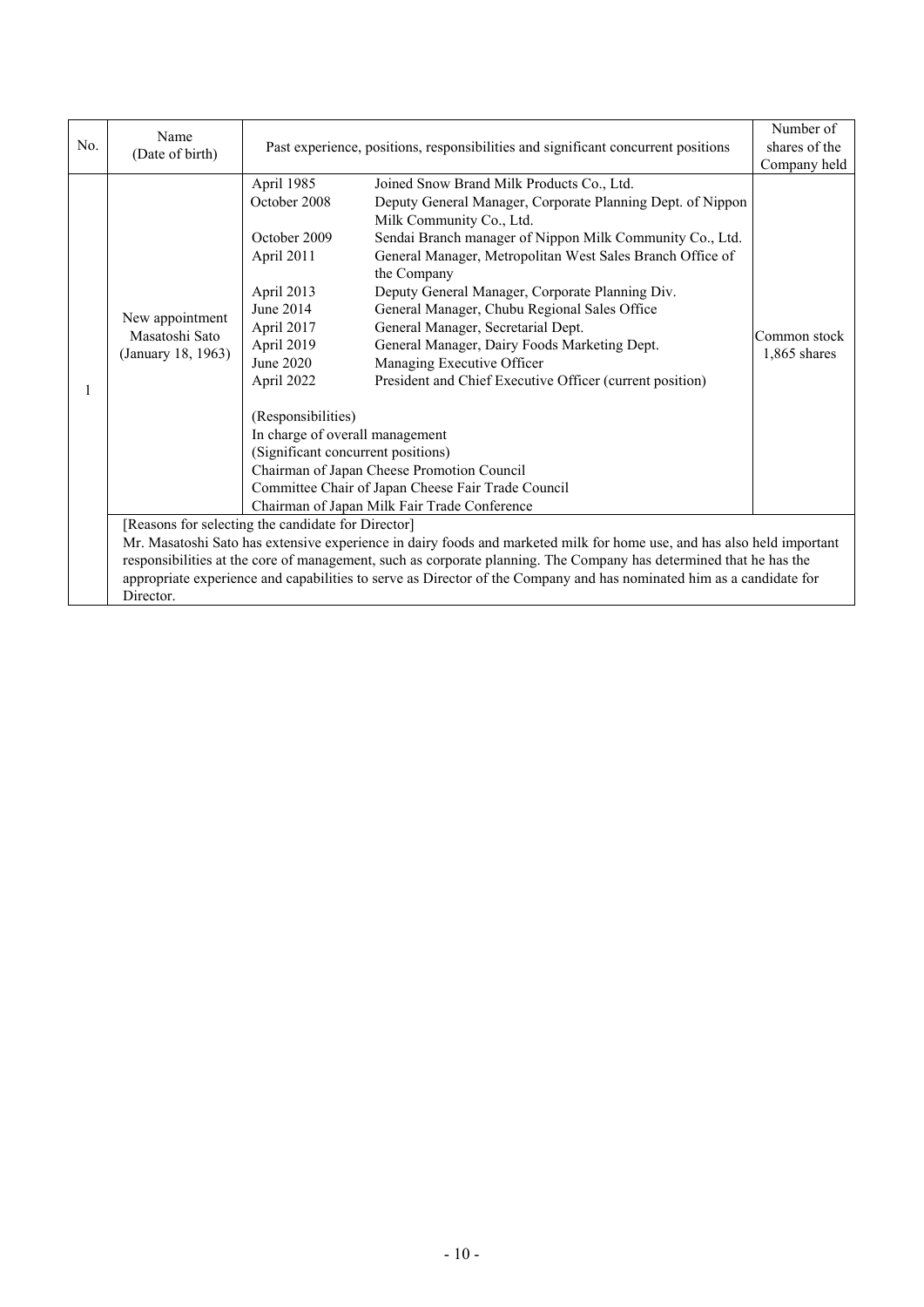| No. | Name<br>(Date of birth)                                                                                                | Past experience, positions, responsibilities and significant concurrent positions |                                                            | Number of<br>shares of the |
|-----|------------------------------------------------------------------------------------------------------------------------|-----------------------------------------------------------------------------------|------------------------------------------------------------|----------------------------|
|     |                                                                                                                        |                                                                                   |                                                            | Company held               |
|     |                                                                                                                        | April 1985                                                                        | Joined Snow Brand Milk Products Co., Ltd.                  |                            |
|     |                                                                                                                        | October 2008                                                                      | Deputy General Manager, Corporate Planning Dept. of Nippon |                            |
|     |                                                                                                                        |                                                                                   | Milk Community Co., Ltd.                                   |                            |
|     |                                                                                                                        | October 2009                                                                      | Sendai Branch manager of Nippon Milk Community Co., Ltd.   |                            |
|     |                                                                                                                        | April 2011                                                                        | General Manager, Metropolitan West Sales Branch Office of  |                            |
|     |                                                                                                                        |                                                                                   | the Company                                                |                            |
|     |                                                                                                                        | April 2013                                                                        | Deputy General Manager, Corporate Planning Div.            |                            |
|     | New appointment                                                                                                        | June 2014                                                                         | General Manager, Chubu Regional Sales Office               |                            |
|     | Masatoshi Sato                                                                                                         | April 2017                                                                        | General Manager, Secretarial Dept.                         | Common stock               |
|     | (January 18, 1963)                                                                                                     | April 2019                                                                        | General Manager, Dairy Foods Marketing Dept.               | $1,865$ shares             |
|     |                                                                                                                        | June 2020                                                                         | Managing Executive Officer                                 |                            |
|     |                                                                                                                        | April 2022                                                                        | President and Chief Executive Officer (current position)   |                            |
|     |                                                                                                                        |                                                                                   |                                                            |                            |
|     |                                                                                                                        | (Responsibilities)                                                                |                                                            |                            |
|     |                                                                                                                        | In charge of overall management                                                   |                                                            |                            |
|     |                                                                                                                        | (Significant concurrent positions)                                                |                                                            |                            |
|     |                                                                                                                        | Chairman of Japan Cheese Promotion Council                                        |                                                            |                            |
|     |                                                                                                                        |                                                                                   | Committee Chair of Japan Cheese Fair Trade Council         |                            |
|     |                                                                                                                        | Chairman of Japan Milk Fair Trade Conference                                      |                                                            |                            |
|     | [Reasons for selecting the candidate for Director]                                                                     |                                                                                   |                                                            |                            |
|     | Mr. Masatoshi Sato has extensive experience in dairy foods and marketed milk for home use, and has also held important |                                                                                   |                                                            |                            |
|     | responsibilities at the core of management, such as corporate planning. The Company has determined that he has the     |                                                                                   |                                                            |                            |
|     | appropriate experience and capabilities to serve as Director of the Company and has nominated him as a candidate for   |                                                                                   |                                                            |                            |
|     | Director.                                                                                                              |                                                                                   |                                                            |                            |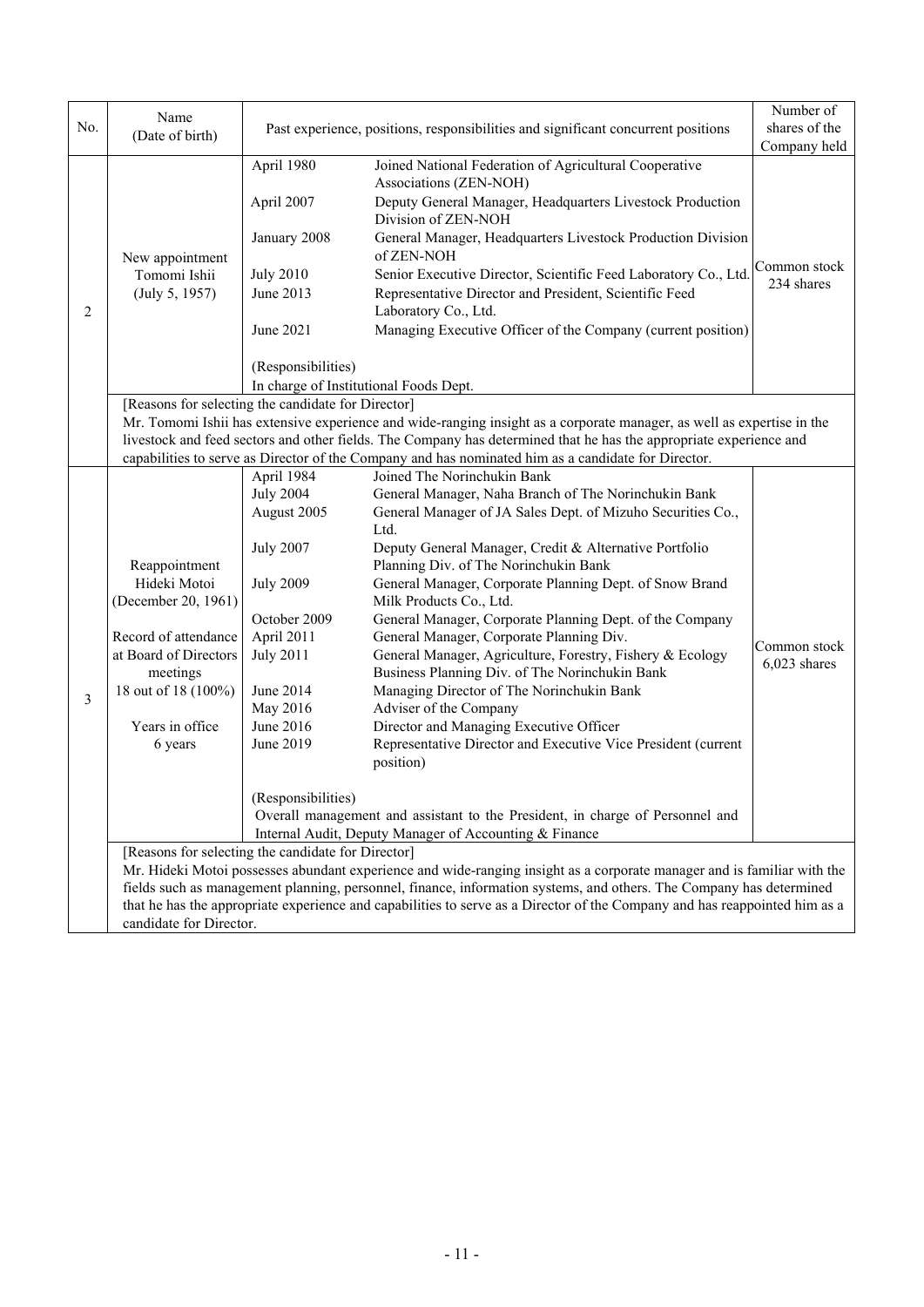| No. | Name                                                                                                                    |                                                                                   |                                                                                                                                    | Number of<br>shares of the |  |  |
|-----|-------------------------------------------------------------------------------------------------------------------------|-----------------------------------------------------------------------------------|------------------------------------------------------------------------------------------------------------------------------------|----------------------------|--|--|
|     | (Date of birth)                                                                                                         | Past experience, positions, responsibilities and significant concurrent positions |                                                                                                                                    | Company held               |  |  |
|     |                                                                                                                         | April 1980                                                                        | Joined National Federation of Agricultural Cooperative                                                                             |                            |  |  |
|     | New appointment<br>Tomomi Ishii                                                                                         |                                                                                   | Associations (ZEN-NOH)                                                                                                             |                            |  |  |
|     |                                                                                                                         | April 2007                                                                        | Deputy General Manager, Headquarters Livestock Production<br>Division of ZEN-NOH                                                   |                            |  |  |
|     |                                                                                                                         | January 2008                                                                      | General Manager, Headquarters Livestock Production Division<br>of ZEN-NOH                                                          |                            |  |  |
|     |                                                                                                                         | <b>July 2010</b>                                                                  | Senior Executive Director, Scientific Feed Laboratory Co., Ltd.                                                                    | Common stock<br>234 shares |  |  |
| 2   | (July 5, 1957)                                                                                                          | June 2013                                                                         | Representative Director and President, Scientific Feed<br>Laboratory Co., Ltd.                                                     |                            |  |  |
|     |                                                                                                                         | June 2021                                                                         | Managing Executive Officer of the Company (current position)                                                                       |                            |  |  |
|     |                                                                                                                         | (Responsibilities)                                                                |                                                                                                                                    |                            |  |  |
|     |                                                                                                                         | In charge of Institutional Foods Dept.                                            |                                                                                                                                    |                            |  |  |
|     |                                                                                                                         | [Reasons for selecting the candidate for Director]                                |                                                                                                                                    |                            |  |  |
|     |                                                                                                                         |                                                                                   | Mr. Tomomi Ishii has extensive experience and wide-ranging insight as a corporate manager, as well as expertise in the             |                            |  |  |
|     |                                                                                                                         |                                                                                   | livestock and feed sectors and other fields. The Company has determined that he has the appropriate experience and                 |                            |  |  |
|     |                                                                                                                         |                                                                                   | capabilities to serve as Director of the Company and has nominated him as a candidate for Director.<br>Joined The Norinchukin Bank |                            |  |  |
|     |                                                                                                                         | April 1984<br><b>July 2004</b>                                                    |                                                                                                                                    |                            |  |  |
|     |                                                                                                                         | August 2005                                                                       | General Manager, Naha Branch of The Norinchukin Bank<br>General Manager of JA Sales Dept. of Mizuho Securities Co.,                |                            |  |  |
|     |                                                                                                                         |                                                                                   | Ltd.                                                                                                                               |                            |  |  |
|     |                                                                                                                         | <b>July 2007</b>                                                                  | Deputy General Manager, Credit & Alternative Portfolio                                                                             |                            |  |  |
|     | Reappointment                                                                                                           |                                                                                   | Planning Div. of The Norinchukin Bank                                                                                              |                            |  |  |
|     | Hideki Motoi                                                                                                            | <b>July 2009</b>                                                                  | General Manager, Corporate Planning Dept. of Snow Brand                                                                            |                            |  |  |
|     | (December 20, 1961)                                                                                                     |                                                                                   | Milk Products Co., Ltd.                                                                                                            |                            |  |  |
|     |                                                                                                                         | October 2009                                                                      | General Manager, Corporate Planning Dept. of the Company                                                                           |                            |  |  |
|     | Record of attendance                                                                                                    | April 2011                                                                        | General Manager, Corporate Planning Div.                                                                                           |                            |  |  |
|     | at Board of Directors                                                                                                   | <b>July 2011</b>                                                                  | General Manager, Agriculture, Forestry, Fishery & Ecology                                                                          | Common stock               |  |  |
|     | meetings                                                                                                                |                                                                                   | Business Planning Div. of The Norinchukin Bank                                                                                     | 6,023 shares               |  |  |
|     | 18 out of 18 (100%)                                                                                                     | June 2014                                                                         | Managing Director of The Norinchukin Bank                                                                                          |                            |  |  |
| 3   |                                                                                                                         | May 2016                                                                          | Adviser of the Company                                                                                                             |                            |  |  |
|     | Years in office                                                                                                         | June 2016                                                                         | Director and Managing Executive Officer                                                                                            |                            |  |  |
|     | 6 years                                                                                                                 | June 2019                                                                         | Representative Director and Executive Vice President (current<br>position)                                                         |                            |  |  |
|     |                                                                                                                         |                                                                                   |                                                                                                                                    |                            |  |  |
|     |                                                                                                                         | (Responsibilities)                                                                |                                                                                                                                    |                            |  |  |
|     |                                                                                                                         |                                                                                   | Overall management and assistant to the President, in charge of Personnel and                                                      |                            |  |  |
|     |                                                                                                                         |                                                                                   | Internal Audit, Deputy Manager of Accounting & Finance                                                                             |                            |  |  |
|     | [Reasons for selecting the candidate for Director]                                                                      |                                                                                   |                                                                                                                                    |                            |  |  |
|     | Mr. Hideki Motoi possesses abundant experience and wide-ranging insight as a corporate manager and is familiar with the |                                                                                   |                                                                                                                                    |                            |  |  |
|     | fields such as management planning, personnel, finance, information systems, and others. The Company has determined     |                                                                                   |                                                                                                                                    |                            |  |  |
|     |                                                                                                                         |                                                                                   | that he has the appropriate experience and capabilities to serve as a Director of the Company and has reappointed him as a         |                            |  |  |
|     | candidate for Director.                                                                                                 |                                                                                   |                                                                                                                                    |                            |  |  |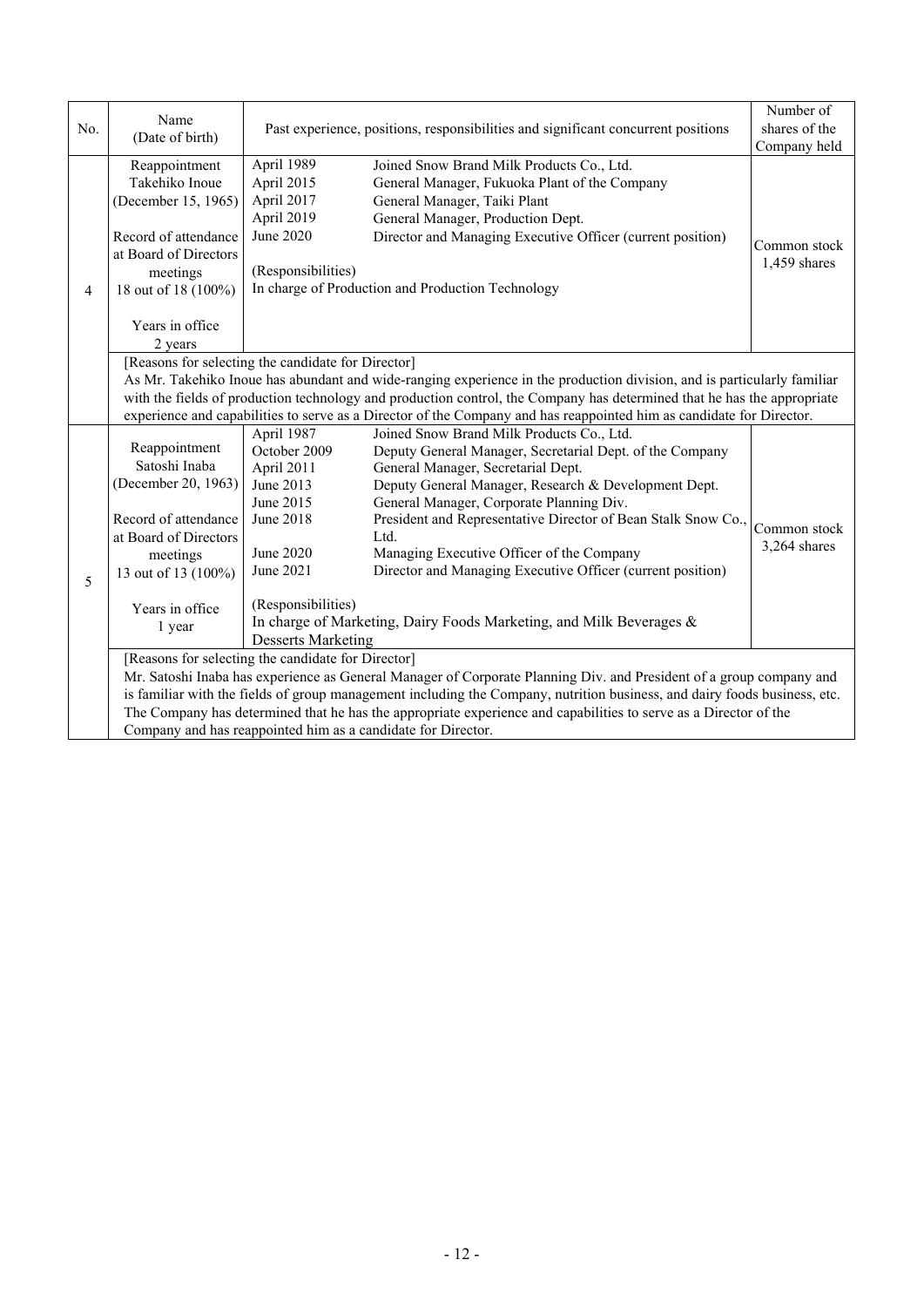| No.             | Name<br>(Date of birth)                                                                                                                                                                                                                                                                                                                                                                                                                                                                                                                                                                                                        | Past experience, positions, responsibilities and significant concurrent positions       |                                                                                                                                                                                                                                                                                    | Number of<br>shares of the   |
|-----------------|--------------------------------------------------------------------------------------------------------------------------------------------------------------------------------------------------------------------------------------------------------------------------------------------------------------------------------------------------------------------------------------------------------------------------------------------------------------------------------------------------------------------------------------------------------------------------------------------------------------------------------|-----------------------------------------------------------------------------------------|------------------------------------------------------------------------------------------------------------------------------------------------------------------------------------------------------------------------------------------------------------------------------------|------------------------------|
|                 |                                                                                                                                                                                                                                                                                                                                                                                                                                                                                                                                                                                                                                |                                                                                         |                                                                                                                                                                                                                                                                                    | Company held                 |
| 4               | Reappointment<br>Takehiko Inoue<br>(December 15, 1965)<br>Record of attendance<br>at Board of Directors<br>meetings<br>18 out of 18 (100%)<br>Years in office                                                                                                                                                                                                                                                                                                                                                                                                                                                                  | April 1989<br>April 2015<br>April 2017<br>April 2019<br>June 2020<br>(Responsibilities) | Joined Snow Brand Milk Products Co., Ltd.<br>General Manager, Fukuoka Plant of the Company<br>General Manager, Taiki Plant<br>General Manager, Production Dept.<br>Director and Managing Executive Officer (current position)<br>In charge of Production and Production Technology | Common stock<br>1,459 shares |
|                 | 2 years                                                                                                                                                                                                                                                                                                                                                                                                                                                                                                                                                                                                                        |                                                                                         |                                                                                                                                                                                                                                                                                    |                              |
|                 |                                                                                                                                                                                                                                                                                                                                                                                                                                                                                                                                                                                                                                | [Reasons for selecting the candidate for Director]                                      |                                                                                                                                                                                                                                                                                    |                              |
|                 |                                                                                                                                                                                                                                                                                                                                                                                                                                                                                                                                                                                                                                |                                                                                         | As Mr. Takehiko Inoue has abundant and wide-ranging experience in the production division, and is particularly familiar                                                                                                                                                            |                              |
|                 | with the fields of production technology and production control, the Company has determined that he has the appropriate                                                                                                                                                                                                                                                                                                                                                                                                                                                                                                        |                                                                                         |                                                                                                                                                                                                                                                                                    |                              |
|                 |                                                                                                                                                                                                                                                                                                                                                                                                                                                                                                                                                                                                                                |                                                                                         | experience and capabilities to serve as a Director of the Company and has reappointed him as candidate for Director.                                                                                                                                                               |                              |
|                 |                                                                                                                                                                                                                                                                                                                                                                                                                                                                                                                                                                                                                                | April 1987                                                                              | Joined Snow Brand Milk Products Co., Ltd.                                                                                                                                                                                                                                          |                              |
|                 | Reappointment                                                                                                                                                                                                                                                                                                                                                                                                                                                                                                                                                                                                                  | October 2009                                                                            | Deputy General Manager, Secretarial Dept. of the Company                                                                                                                                                                                                                           |                              |
|                 | Satoshi Inaba                                                                                                                                                                                                                                                                                                                                                                                                                                                                                                                                                                                                                  | April 2011                                                                              | General Manager, Secretarial Dept.                                                                                                                                                                                                                                                 |                              |
|                 | (December 20, 1963)                                                                                                                                                                                                                                                                                                                                                                                                                                                                                                                                                                                                            | June 2013                                                                               | Deputy General Manager, Research & Development Dept.                                                                                                                                                                                                                               |                              |
|                 |                                                                                                                                                                                                                                                                                                                                                                                                                                                                                                                                                                                                                                | June 2015                                                                               | General Manager, Corporate Planning Div.                                                                                                                                                                                                                                           |                              |
|                 | Record of attendance                                                                                                                                                                                                                                                                                                                                                                                                                                                                                                                                                                                                           | June 2018                                                                               | President and Representative Director of Bean Stalk Snow Co.,                                                                                                                                                                                                                      | Common stock                 |
|                 | at Board of Directors                                                                                                                                                                                                                                                                                                                                                                                                                                                                                                                                                                                                          | Ltd.                                                                                    |                                                                                                                                                                                                                                                                                    | 3,264 shares                 |
|                 | meetings                                                                                                                                                                                                                                                                                                                                                                                                                                                                                                                                                                                                                       | June 2020                                                                               | Managing Executive Officer of the Company                                                                                                                                                                                                                                          |                              |
| 5               | 13 out of 13 (100%)                                                                                                                                                                                                                                                                                                                                                                                                                                                                                                                                                                                                            | June 2021                                                                               | Director and Managing Executive Officer (current position)                                                                                                                                                                                                                         |                              |
|                 |                                                                                                                                                                                                                                                                                                                                                                                                                                                                                                                                                                                                                                |                                                                                         |                                                                                                                                                                                                                                                                                    |                              |
| Years in office |                                                                                                                                                                                                                                                                                                                                                                                                                                                                                                                                                                                                                                |                                                                                         |                                                                                                                                                                                                                                                                                    |                              |
|                 |                                                                                                                                                                                                                                                                                                                                                                                                                                                                                                                                                                                                                                |                                                                                         |                                                                                                                                                                                                                                                                                    |                              |
|                 |                                                                                                                                                                                                                                                                                                                                                                                                                                                                                                                                                                                                                                |                                                                                         |                                                                                                                                                                                                                                                                                    |                              |
|                 |                                                                                                                                                                                                                                                                                                                                                                                                                                                                                                                                                                                                                                |                                                                                         |                                                                                                                                                                                                                                                                                    |                              |
|                 |                                                                                                                                                                                                                                                                                                                                                                                                                                                                                                                                                                                                                                |                                                                                         |                                                                                                                                                                                                                                                                                    |                              |
|                 |                                                                                                                                                                                                                                                                                                                                                                                                                                                                                                                                                                                                                                |                                                                                         |                                                                                                                                                                                                                                                                                    |                              |
|                 |                                                                                                                                                                                                                                                                                                                                                                                                                                                                                                                                                                                                                                |                                                                                         |                                                                                                                                                                                                                                                                                    |                              |
|                 | (Responsibilities)<br>In charge of Marketing, Dairy Foods Marketing, and Milk Beverages &<br>1 year<br><b>Desserts Marketing</b><br>[Reasons for selecting the candidate for Director]<br>Mr. Satoshi Inaba has experience as General Manager of Corporate Planning Div. and President of a group company and<br>is familiar with the fields of group management including the Company, nutrition business, and dairy foods business, etc.<br>The Company has determined that he has the appropriate experience and capabilities to serve as a Director of the<br>Company and has reappointed him as a candidate for Director. |                                                                                         |                                                                                                                                                                                                                                                                                    |                              |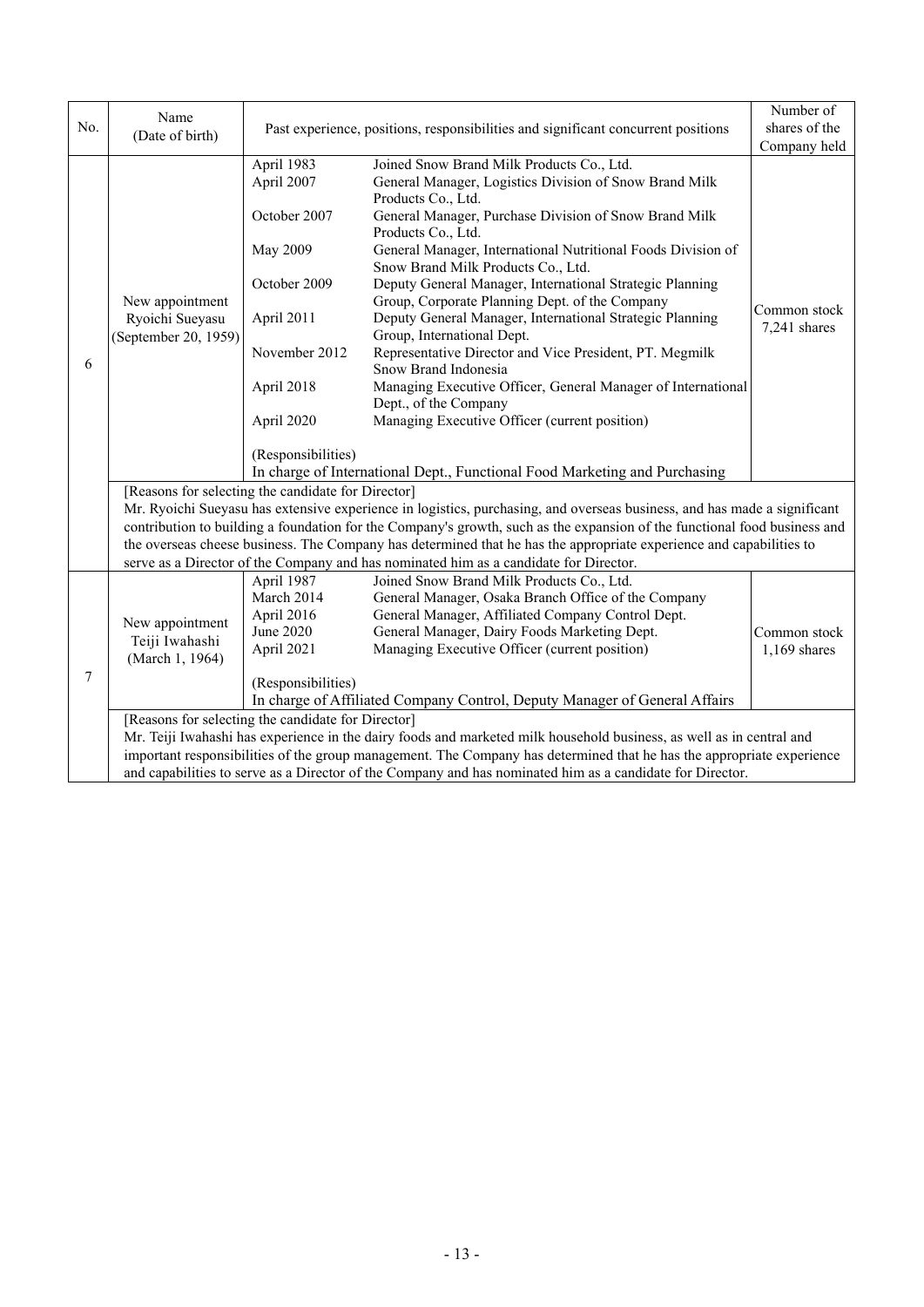| No. | Name<br>(Date of birth)                                    | Past experience, positions, responsibilities and significant concurrent positions                                               |                                                                                                                                                                                                                                                                                                                                                                                                                                                                                                                                                                                                                                                                                                                                                     | Number of<br>shares of the<br>Company held |
|-----|------------------------------------------------------------|---------------------------------------------------------------------------------------------------------------------------------|-----------------------------------------------------------------------------------------------------------------------------------------------------------------------------------------------------------------------------------------------------------------------------------------------------------------------------------------------------------------------------------------------------------------------------------------------------------------------------------------------------------------------------------------------------------------------------------------------------------------------------------------------------------------------------------------------------------------------------------------------------|--------------------------------------------|
| 6   | New appointment<br>Ryoichi Sueyasu<br>(September 20, 1959) | April 1983<br>April 2007<br>October 2007<br>May 2009<br>October 2009<br>April 2011<br>November 2012<br>April 2018<br>April 2020 | Joined Snow Brand Milk Products Co., Ltd.<br>General Manager, Logistics Division of Snow Brand Milk<br>Products Co., Ltd.<br>General Manager, Purchase Division of Snow Brand Milk<br>Products Co., Ltd.<br>General Manager, International Nutritional Foods Division of<br>Snow Brand Milk Products Co., Ltd.<br>Deputy General Manager, International Strategic Planning<br>Group, Corporate Planning Dept. of the Company<br>Deputy General Manager, International Strategic Planning<br>Group, International Dept.<br>Representative Director and Vice President, PT. Megmilk<br>Snow Brand Indonesia<br>Managing Executive Officer, General Manager of International<br>Dept., of the Company<br>Managing Executive Officer (current position) | Common stock<br>7,241 shares               |
|     | [Reasons for selecting the candidate for Director]         | (Responsibilities)                                                                                                              | In charge of International Dept., Functional Food Marketing and Purchasing<br>Mr. Ryoichi Sueyasu has extensive experience in logistics, purchasing, and overseas business, and has made a significant<br>contribution to building a foundation for the Company's growth, such as the expansion of the functional food business and                                                                                                                                                                                                                                                                                                                                                                                                                 |                                            |
|     |                                                            |                                                                                                                                 | the overseas cheese business. The Company has determined that he has the appropriate experience and capabilities to<br>serve as a Director of the Company and has nominated him as a candidate for Director.                                                                                                                                                                                                                                                                                                                                                                                                                                                                                                                                        |                                            |
| 7   | New appointment<br>Teiji Iwahashi<br>(March 1, 1964)       | April 1987<br>March 2014<br>April 2016<br>June 2020<br>April 2021<br>(Responsibilities)                                         | Joined Snow Brand Milk Products Co., Ltd.<br>General Manager, Osaka Branch Office of the Company<br>General Manager, Affiliated Company Control Dept.<br>General Manager, Dairy Foods Marketing Dept.<br>Managing Executive Officer (current position)<br>In charge of Affiliated Company Control, Deputy Manager of General Affairs                                                                                                                                                                                                                                                                                                                                                                                                                | Common stock<br>$1,169$ shares             |
|     | [Reasons for selecting the candidate for Director]         |                                                                                                                                 | Mr. Teiji Iwahashi has experience in the dairy foods and marketed milk household business, as well as in central and<br>important responsibilities of the group management. The Company has determined that he has the appropriate experience<br>and capabilities to serve as a Director of the Company and has nominated him as a candidate for Director.                                                                                                                                                                                                                                                                                                                                                                                          |                                            |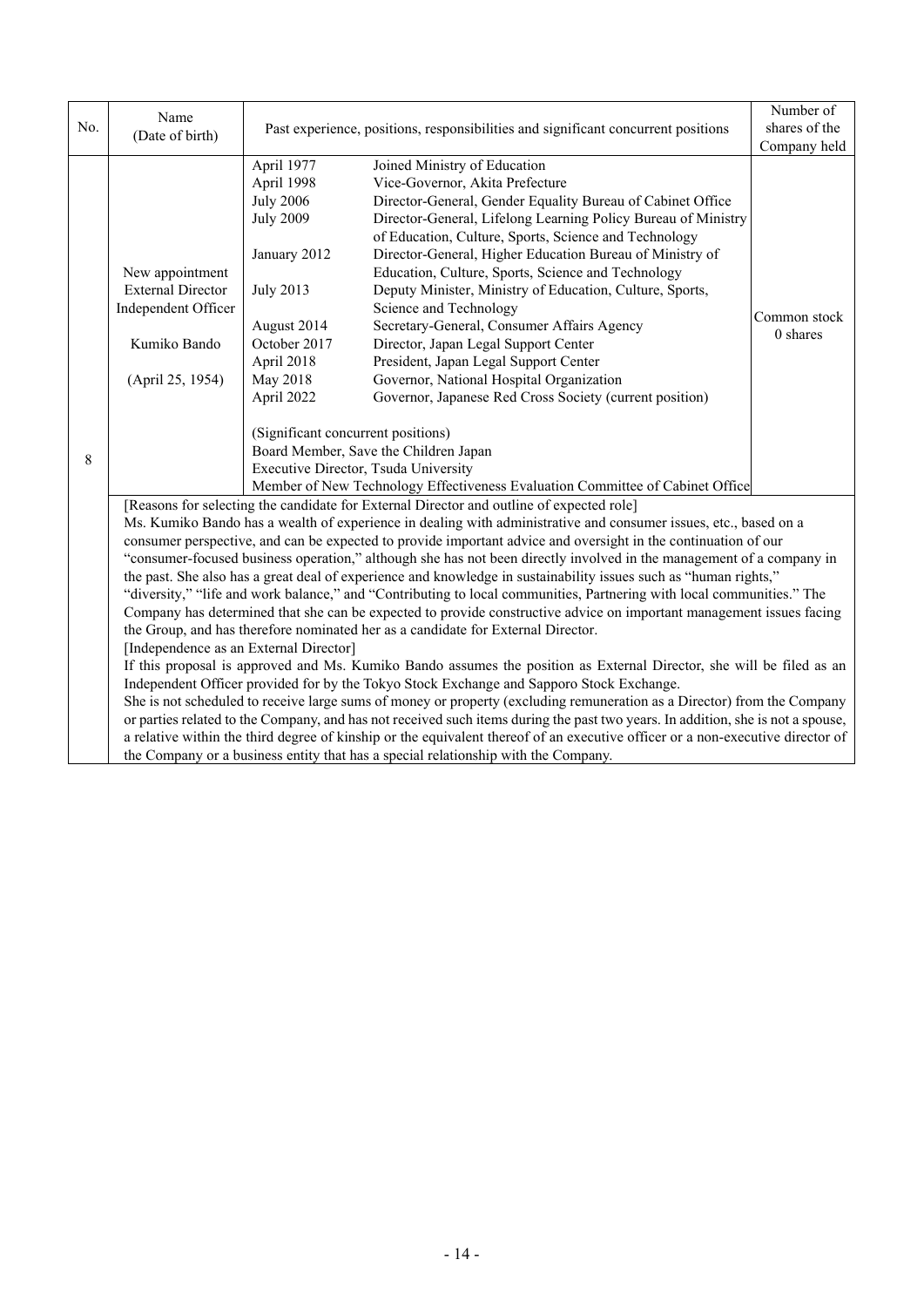|     | Name                                                                                                                                                                                                                                                                                                                                                   |                                                                                   |                                                                                                                                | Number of    |  |  |  |  |
|-----|--------------------------------------------------------------------------------------------------------------------------------------------------------------------------------------------------------------------------------------------------------------------------------------------------------------------------------------------------------|-----------------------------------------------------------------------------------|--------------------------------------------------------------------------------------------------------------------------------|--------------|--|--|--|--|
| No. | (Date of birth)                                                                                                                                                                                                                                                                                                                                        | Past experience, positions, responsibilities and significant concurrent positions | shares of the                                                                                                                  |              |  |  |  |  |
|     |                                                                                                                                                                                                                                                                                                                                                        |                                                                                   | Company held                                                                                                                   |              |  |  |  |  |
|     |                                                                                                                                                                                                                                                                                                                                                        | April 1977                                                                        | Joined Ministry of Education                                                                                                   |              |  |  |  |  |
|     |                                                                                                                                                                                                                                                                                                                                                        | April 1998                                                                        | Vice-Governor, Akita Prefecture                                                                                                |              |  |  |  |  |
|     |                                                                                                                                                                                                                                                                                                                                                        | <b>July 2006</b>                                                                  | Director-General, Gender Equality Bureau of Cabinet Office                                                                     |              |  |  |  |  |
|     |                                                                                                                                                                                                                                                                                                                                                        | <b>July 2009</b>                                                                  | Director-General, Lifelong Learning Policy Bureau of Ministry                                                                  |              |  |  |  |  |
|     |                                                                                                                                                                                                                                                                                                                                                        |                                                                                   | of Education, Culture, Sports, Science and Technology                                                                          |              |  |  |  |  |
|     |                                                                                                                                                                                                                                                                                                                                                        | January 2012                                                                      | Director-General, Higher Education Bureau of Ministry of                                                                       |              |  |  |  |  |
|     | New appointment                                                                                                                                                                                                                                                                                                                                        |                                                                                   | Education, Culture, Sports, Science and Technology                                                                             |              |  |  |  |  |
|     | <b>External Director</b>                                                                                                                                                                                                                                                                                                                               | <b>July 2013</b>                                                                  | Deputy Minister, Ministry of Education, Culture, Sports,                                                                       |              |  |  |  |  |
|     | Independent Officer                                                                                                                                                                                                                                                                                                                                    |                                                                                   | Science and Technology                                                                                                         | Common stock |  |  |  |  |
|     |                                                                                                                                                                                                                                                                                                                                                        | August 2014                                                                       | Secretary-General, Consumer Affairs Agency                                                                                     | 0 shares     |  |  |  |  |
|     | Kumiko Bando                                                                                                                                                                                                                                                                                                                                           | October 2017                                                                      | Director, Japan Legal Support Center                                                                                           |              |  |  |  |  |
|     |                                                                                                                                                                                                                                                                                                                                                        | April 2018                                                                        | President, Japan Legal Support Center                                                                                          |              |  |  |  |  |
|     | (April 25, 1954)                                                                                                                                                                                                                                                                                                                                       | May 2018                                                                          | Governor, National Hospital Organization                                                                                       |              |  |  |  |  |
|     | April 2022                                                                                                                                                                                                                                                                                                                                             |                                                                                   | Governor, Japanese Red Cross Society (current position)                                                                        |              |  |  |  |  |
|     |                                                                                                                                                                                                                                                                                                                                                        | (Significant concurrent positions)                                                |                                                                                                                                |              |  |  |  |  |
|     |                                                                                                                                                                                                                                                                                                                                                        |                                                                                   | Board Member, Save the Children Japan                                                                                          |              |  |  |  |  |
| 8   |                                                                                                                                                                                                                                                                                                                                                        | Executive Director, Tsuda University                                              |                                                                                                                                |              |  |  |  |  |
|     |                                                                                                                                                                                                                                                                                                                                                        |                                                                                   | Member of New Technology Effectiveness Evaluation Committee of Cabinet Office                                                  |              |  |  |  |  |
|     | [Reasons for selecting the candidate for External Director and outline of expected role]                                                                                                                                                                                                                                                               |                                                                                   |                                                                                                                                |              |  |  |  |  |
|     | Ms. Kumiko Bando has a wealth of experience in dealing with administrative and consumer issues, etc., based on a                                                                                                                                                                                                                                       |                                                                                   |                                                                                                                                |              |  |  |  |  |
|     | consumer perspective, and can be expected to provide important advice and oversight in the continuation of our                                                                                                                                                                                                                                         |                                                                                   |                                                                                                                                |              |  |  |  |  |
|     |                                                                                                                                                                                                                                                                                                                                                        |                                                                                   | "consumer-focused business operation," although she has not been directly involved in the management of a company in           |              |  |  |  |  |
|     |                                                                                                                                                                                                                                                                                                                                                        |                                                                                   | the past. She also has a great deal of experience and knowledge in sustainability issues such as "human rights,"               |              |  |  |  |  |
|     |                                                                                                                                                                                                                                                                                                                                                        |                                                                                   | "diversity," "life and work balance," and "Contributing to local communities, Partnering with local communities." The          |              |  |  |  |  |
|     |                                                                                                                                                                                                                                                                                                                                                        |                                                                                   | Company has determined that she can be expected to provide constructive advice on important management issues facing           |              |  |  |  |  |
|     |                                                                                                                                                                                                                                                                                                                                                        |                                                                                   | the Group, and has therefore nominated her as a candidate for External Director.                                               |              |  |  |  |  |
|     | [Independence as an External Director]                                                                                                                                                                                                                                                                                                                 |                                                                                   |                                                                                                                                |              |  |  |  |  |
|     |                                                                                                                                                                                                                                                                                                                                                        |                                                                                   | If this proposal is approved and Ms. Kumiko Bando assumes the position as External Director, she will be filed as an           |              |  |  |  |  |
|     | Independent Officer provided for by the Tokyo Stock Exchange and Sapporo Stock Exchange.<br>She is not scheduled to receive large sums of money or property (excluding remuneration as a Director) from the Company<br>or parties related to the Company, and has not received such items during the past two years. In addition, she is not a spouse, |                                                                                   |                                                                                                                                |              |  |  |  |  |
|     |                                                                                                                                                                                                                                                                                                                                                        |                                                                                   |                                                                                                                                |              |  |  |  |  |
|     |                                                                                                                                                                                                                                                                                                                                                        |                                                                                   |                                                                                                                                |              |  |  |  |  |
|     |                                                                                                                                                                                                                                                                                                                                                        |                                                                                   | a relative within the third degree of kinship or the equivalent thereof of an executive officer or a non-executive director of |              |  |  |  |  |
|     |                                                                                                                                                                                                                                                                                                                                                        |                                                                                   | the Company or a business entity that has a special relationship with the Company.                                             |              |  |  |  |  |
|     |                                                                                                                                                                                                                                                                                                                                                        |                                                                                   |                                                                                                                                |              |  |  |  |  |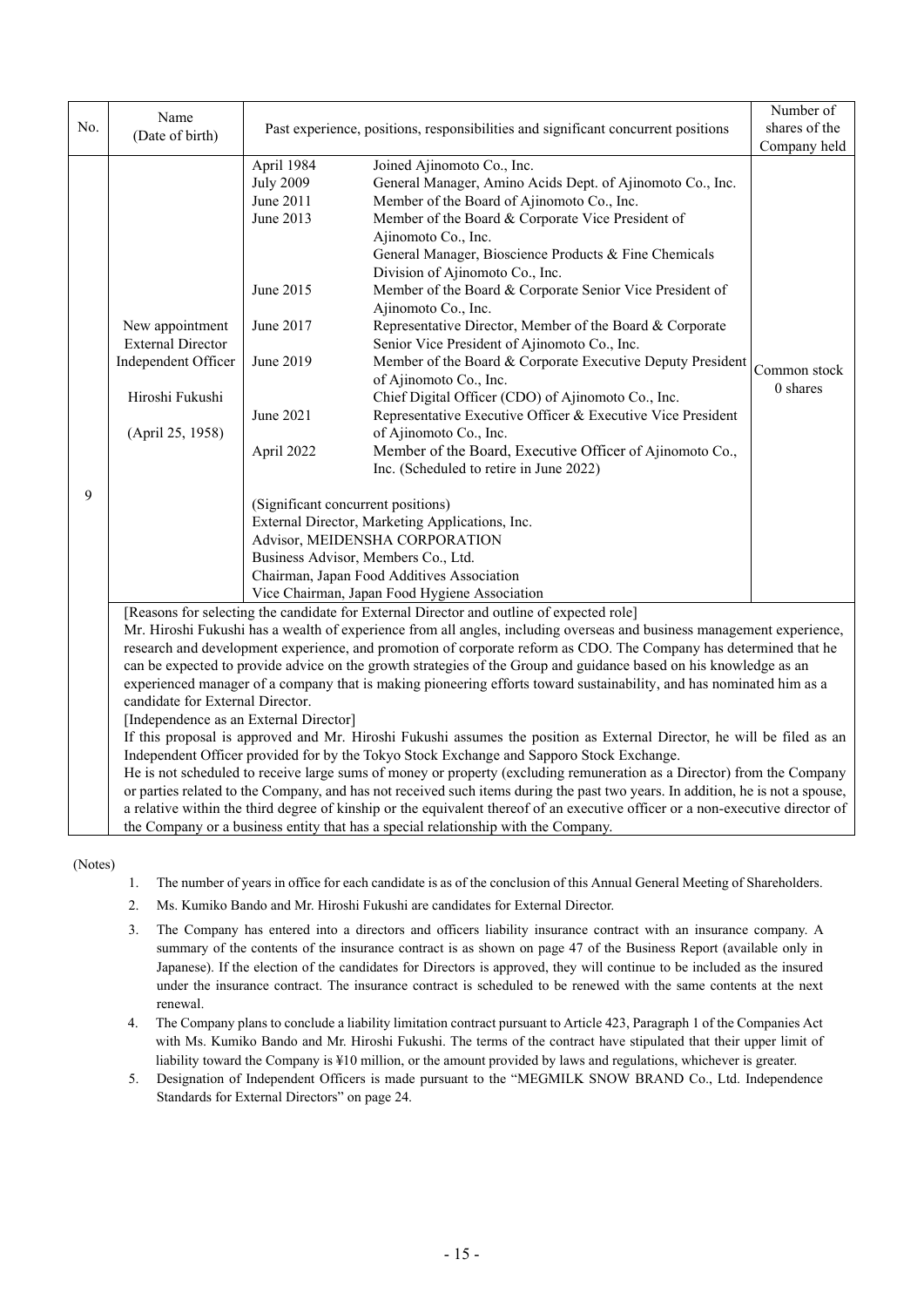| No. | Name<br>(Date of birth)                                                                                                                                                                                                                                                                                                                                                                                                                                                                                                                                                                                                                                    | Past experience, positions, responsibilities and significant concurrent positions | Number of<br>shares of the<br>Company held                                                                                                                                                                                                                                                                    |                          |  |  |  |
|-----|------------------------------------------------------------------------------------------------------------------------------------------------------------------------------------------------------------------------------------------------------------------------------------------------------------------------------------------------------------------------------------------------------------------------------------------------------------------------------------------------------------------------------------------------------------------------------------------------------------------------------------------------------------|-----------------------------------------------------------------------------------|---------------------------------------------------------------------------------------------------------------------------------------------------------------------------------------------------------------------------------------------------------------------------------------------------------------|--------------------------|--|--|--|
|     |                                                                                                                                                                                                                                                                                                                                                                                                                                                                                                                                                                                                                                                            | April 1984<br><b>July 2009</b><br>June 2011<br>June 2013                          | Joined Ajinomoto Co., Inc.<br>General Manager, Amino Acids Dept. of Ajinomoto Co., Inc.<br>Member of the Board of Ajinomoto Co., Inc.<br>Member of the Board & Corporate Vice President of<br>Ajinomoto Co., Inc.<br>General Manager, Bioscience Products & Fine Chemicals<br>Division of Ajinomoto Co., Inc. |                          |  |  |  |
|     |                                                                                                                                                                                                                                                                                                                                                                                                                                                                                                                                                                                                                                                            | June 2015                                                                         | Member of the Board & Corporate Senior Vice President of<br>Ajinomoto Co., Inc.                                                                                                                                                                                                                               |                          |  |  |  |
|     | New appointment<br><b>External Director</b>                                                                                                                                                                                                                                                                                                                                                                                                                                                                                                                                                                                                                | June 2017                                                                         | Representative Director, Member of the Board & Corporate<br>Senior Vice President of Ajinomoto Co., Inc.                                                                                                                                                                                                      |                          |  |  |  |
|     | Independent Officer                                                                                                                                                                                                                                                                                                                                                                                                                                                                                                                                                                                                                                        | June 2019                                                                         | Member of the Board & Corporate Executive Deputy President<br>of Ajinomoto Co., Inc.                                                                                                                                                                                                                          | Common stock<br>0 shares |  |  |  |
|     | Hiroshi Fukushi<br>(April 25, 1958)                                                                                                                                                                                                                                                                                                                                                                                                                                                                                                                                                                                                                        | June 2021                                                                         | Chief Digital Officer (CDO) of Ajinomoto Co., Inc.<br>Representative Executive Officer & Executive Vice President                                                                                                                                                                                             |                          |  |  |  |
|     |                                                                                                                                                                                                                                                                                                                                                                                                                                                                                                                                                                                                                                                            | April 2022                                                                        | of Ajinomoto Co., Inc.<br>Member of the Board, Executive Officer of Ajinomoto Co.,<br>Inc. (Scheduled to retire in June 2022)                                                                                                                                                                                 |                          |  |  |  |
| 9   |                                                                                                                                                                                                                                                                                                                                                                                                                                                                                                                                                                                                                                                            |                                                                                   |                                                                                                                                                                                                                                                                                                               |                          |  |  |  |
|     | [Reasons for selecting the candidate for External Director and outline of expected role]<br>Mr. Hiroshi Fukushi has a wealth of experience from all angles, including overseas and business management experience,<br>research and development experience, and promotion of corporate reform as CDO. The Company has determined that he<br>can be expected to provide advice on the growth strategies of the Group and guidance based on his knowledge as an<br>experienced manager of a company that is making pioneering efforts toward sustainability, and has nominated him as a<br>candidate for External Director.                                   |                                                                                   |                                                                                                                                                                                                                                                                                                               |                          |  |  |  |
|     | [Independence as an External Director]<br>If this proposal is approved and Mr. Hiroshi Fukushi assumes the position as External Director, he will be filed as an<br>Independent Officer provided for by the Tokyo Stock Exchange and Sapporo Stock Exchange.<br>He is not scheduled to receive large sums of money or property (excluding remuneration as a Director) from the Company<br>or parties related to the Company, and has not received such items during the past two years. In addition, he is not a spouse,<br>a relative within the third degree of kinship or the equivalent thereof of an executive officer or a non-executive director of |                                                                                   |                                                                                                                                                                                                                                                                                                               |                          |  |  |  |
|     |                                                                                                                                                                                                                                                                                                                                                                                                                                                                                                                                                                                                                                                            |                                                                                   | the Company or a business entity that has a special relationship with the Company.                                                                                                                                                                                                                            |                          |  |  |  |

(Notes)

- 1. The number of years in office for each candidate is as of the conclusion of this Annual General Meeting of Shareholders.
- 2. Ms. Kumiko Bando and Mr. Hiroshi Fukushi are candidates for External Director.
- 3. The Company has entered into a directors and officers liability insurance contract with an insurance company. A summary of the contents of the insurance contract is as shown on page 47 of the Business Report (available only in Japanese). If the election of the candidates for Directors is approved, they will continue to be included as the insured under the insurance contract. The insurance contract is scheduled to be renewed with the same contents at the next renewal.
- 4. The Company plans to conclude a liability limitation contract pursuant to Article 423, Paragraph 1 of the Companies Act with Ms. Kumiko Bando and Mr. Hiroshi Fukushi. The terms of the contract have stipulated that their upper limit of liability toward the Company is ¥10 million, or the amount provided by laws and regulations, whichever is greater.
- 5. Designation of Independent Officers is made pursuant to the "MEGMILK SNOW BRAND Co., Ltd. Independence Standards for External Directors" on page 24.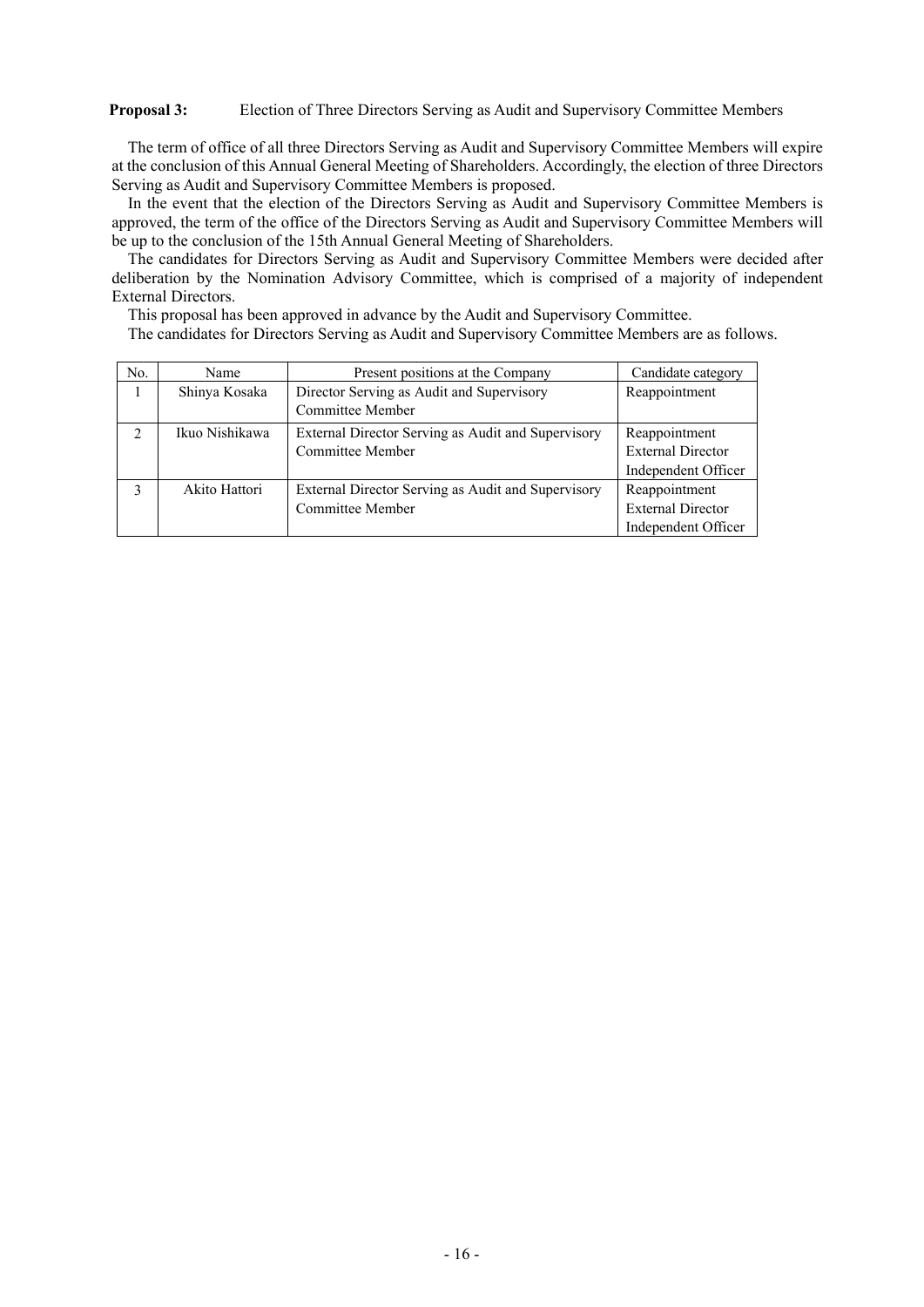### **Proposal 3:** Election of Three Directors Serving as Audit and Supervisory Committee Members

The term of office of all three Directors Serving as Audit and Supervisory Committee Members will expire at the conclusion of this Annual General Meeting of Shareholders. Accordingly, the election of three Directors Serving as Audit and Supervisory Committee Members is proposed.

In the event that the election of the Directors Serving as Audit and Supervisory Committee Members is approved, the term of the office of the Directors Serving as Audit and Supervisory Committee Members will be up to the conclusion of the 15th Annual General Meeting of Shareholders.

The candidates for Directors Serving as Audit and Supervisory Committee Members were decided after deliberation by the Nomination Advisory Committee, which is comprised of a majority of independent External Directors.

This proposal has been approved in advance by the Audit and Supervisory Committee.

The candidates for Directors Serving as Audit and Supervisory Committee Members are as follows.

| No.            | Name           | Present positions at the Company                                       | Candidate category                                               |
|----------------|----------------|------------------------------------------------------------------------|------------------------------------------------------------------|
|                | Shinya Kosaka  | Director Serving as Audit and Supervisory<br>Committee Member          | Reappointment                                                    |
| $\mathfrak{D}$ | Ikuo Nishikawa | External Director Serving as Audit and Supervisory<br>Committee Member | Reappointment<br><b>External Director</b><br>Independent Officer |
| 3              | Akito Hattori  | External Director Serving as Audit and Supervisory<br>Committee Member | Reappointment<br><b>External Director</b><br>Independent Officer |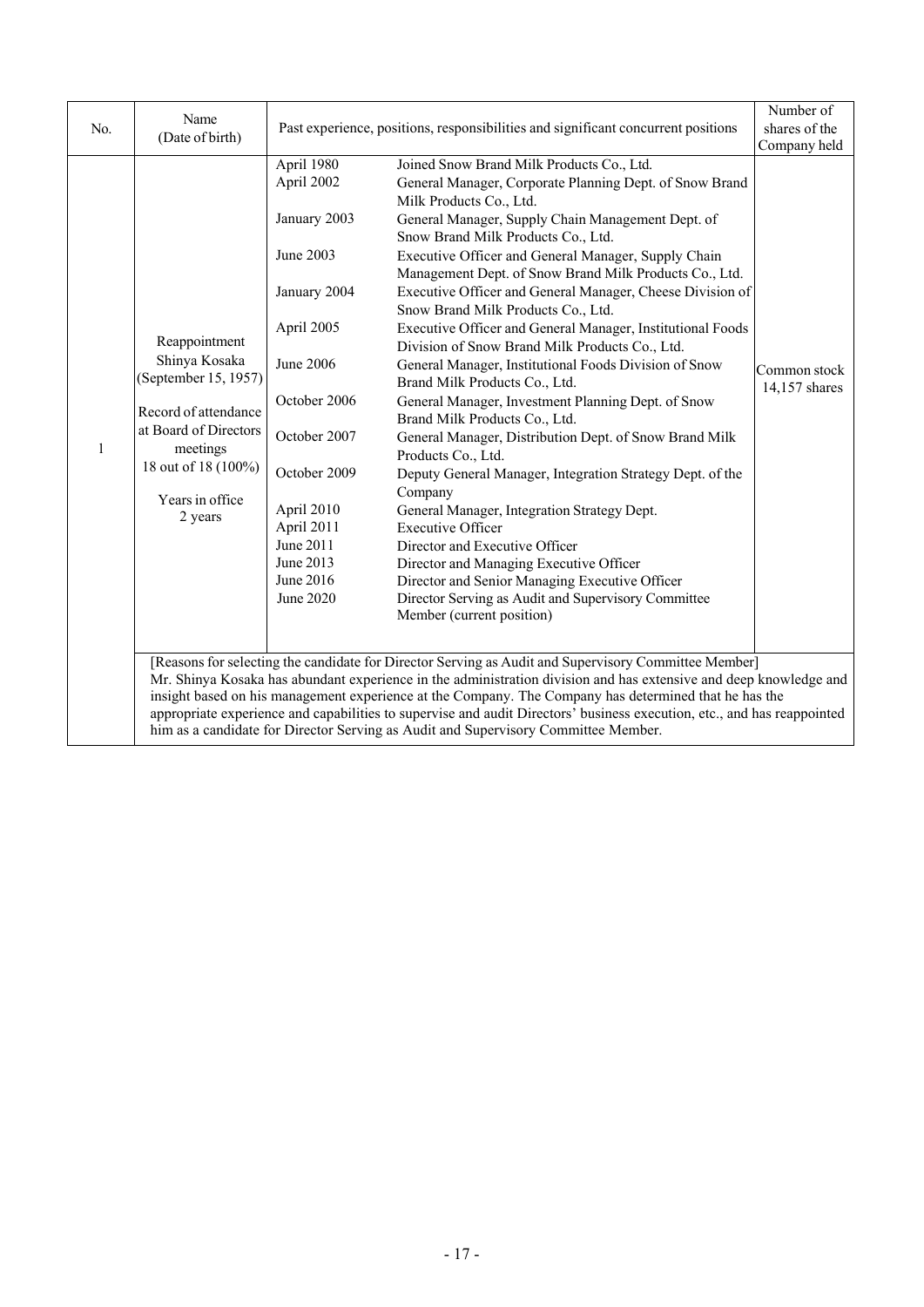| No.          | Name<br>(Date of birth)                                                                                                                                                                                                                                                                                                                                                                                                                                                                                                                             | Past experience, positions, responsibilities and significant concurrent positions                                                                                                                                                | Number of<br>shares of the<br>Company held                                                                                                                                                                                                                                                                                                                                                                                                                                                                                                                                                                                                                                                                                                                                                                                                                                                                                                                                                                                                                                                                                                                                                            |                               |  |  |
|--------------|-----------------------------------------------------------------------------------------------------------------------------------------------------------------------------------------------------------------------------------------------------------------------------------------------------------------------------------------------------------------------------------------------------------------------------------------------------------------------------------------------------------------------------------------------------|----------------------------------------------------------------------------------------------------------------------------------------------------------------------------------------------------------------------------------|-------------------------------------------------------------------------------------------------------------------------------------------------------------------------------------------------------------------------------------------------------------------------------------------------------------------------------------------------------------------------------------------------------------------------------------------------------------------------------------------------------------------------------------------------------------------------------------------------------------------------------------------------------------------------------------------------------------------------------------------------------------------------------------------------------------------------------------------------------------------------------------------------------------------------------------------------------------------------------------------------------------------------------------------------------------------------------------------------------------------------------------------------------------------------------------------------------|-------------------------------|--|--|
| $\mathbf{1}$ | Reappointment<br>Shinya Kosaka<br>(September 15, 1957)<br>Record of attendance<br>at Board of Directors<br>meetings<br>18 out of 18 (100%)<br>Years in office<br>2 years                                                                                                                                                                                                                                                                                                                                                                            | April 1980<br>April 2002<br>January 2003<br>June 2003<br>January 2004<br>April 2005<br>June 2006<br>October 2006<br>October 2007<br>October 2009<br>April 2010<br>April 2011<br>June 2011<br>June 2013<br>June 2016<br>June 2020 | Joined Snow Brand Milk Products Co., Ltd.<br>General Manager, Corporate Planning Dept. of Snow Brand<br>Milk Products Co., Ltd.<br>General Manager, Supply Chain Management Dept. of<br>Snow Brand Milk Products Co., Ltd.<br>Executive Officer and General Manager, Supply Chain<br>Management Dept. of Snow Brand Milk Products Co., Ltd.<br>Executive Officer and General Manager, Cheese Division of<br>Snow Brand Milk Products Co., Ltd.<br>Executive Officer and General Manager, Institutional Foods<br>Division of Snow Brand Milk Products Co., Ltd.<br>General Manager, Institutional Foods Division of Snow<br>Brand Milk Products Co., Ltd.<br>General Manager, Investment Planning Dept. of Snow<br>Brand Milk Products Co., Ltd.<br>General Manager, Distribution Dept. of Snow Brand Milk<br>Products Co., Ltd.<br>Deputy General Manager, Integration Strategy Dept. of the<br>Company<br>General Manager, Integration Strategy Dept.<br><b>Executive Officer</b><br>Director and Executive Officer<br>Director and Managing Executive Officer<br>Director and Senior Managing Executive Officer<br>Director Serving as Audit and Supervisory Committee<br>Member (current position) | Common stock<br>14,157 shares |  |  |
|              | [Reasons for selecting the candidate for Director Serving as Audit and Supervisory Committee Member]<br>Mr. Shinya Kosaka has abundant experience in the administration division and has extensive and deep knowledge and<br>insight based on his management experience at the Company. The Company has determined that he has the<br>appropriate experience and capabilities to supervise and audit Directors' business execution, etc., and has reappointed<br>him as a candidate for Director Serving as Audit and Supervisory Committee Member. |                                                                                                                                                                                                                                  |                                                                                                                                                                                                                                                                                                                                                                                                                                                                                                                                                                                                                                                                                                                                                                                                                                                                                                                                                                                                                                                                                                                                                                                                       |                               |  |  |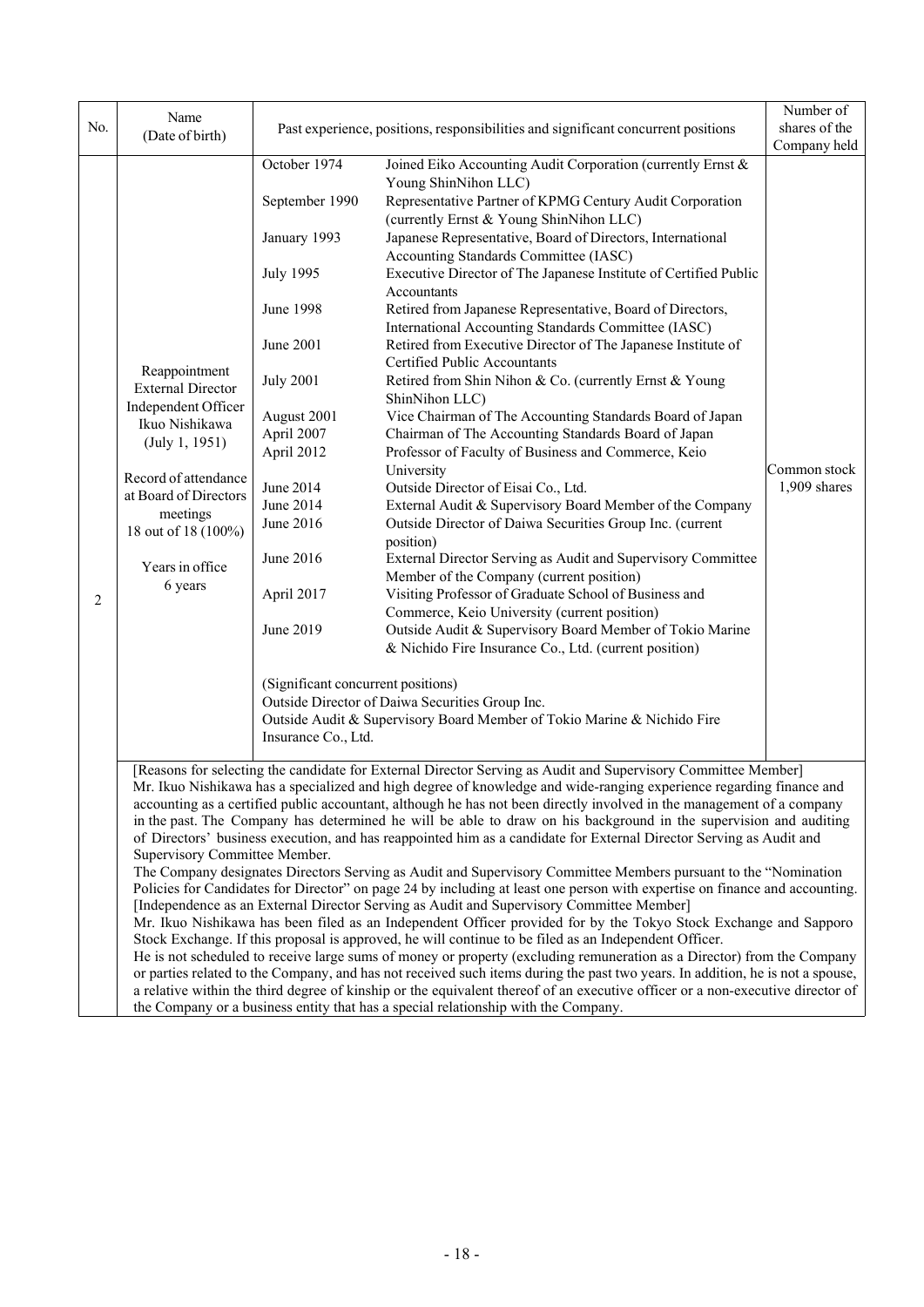| No. | Name                                                                                                                                                                                                                                                                                                                                                                                                                                                                                                                                                                                                                                                                                                                                                                                                                                                                                                                                                                                                                                                                                                                                                                                                                                                                                                                                                                                                                                                                                                                                                                                                                                                                                                       |                                                                                                                                                                                                                                                                                                         |                                                                                                                                                                                                                                                                                                                                                                                                                                                                                                                                                                                                                                                                                                                                                                                                                                                                                                                                                                                                                                                                                                                                                                                                                                                                                                                                                                                                                                                                                                                                  | Number of                      |  |  |
|-----|------------------------------------------------------------------------------------------------------------------------------------------------------------------------------------------------------------------------------------------------------------------------------------------------------------------------------------------------------------------------------------------------------------------------------------------------------------------------------------------------------------------------------------------------------------------------------------------------------------------------------------------------------------------------------------------------------------------------------------------------------------------------------------------------------------------------------------------------------------------------------------------------------------------------------------------------------------------------------------------------------------------------------------------------------------------------------------------------------------------------------------------------------------------------------------------------------------------------------------------------------------------------------------------------------------------------------------------------------------------------------------------------------------------------------------------------------------------------------------------------------------------------------------------------------------------------------------------------------------------------------------------------------------------------------------------------------------|---------------------------------------------------------------------------------------------------------------------------------------------------------------------------------------------------------------------------------------------------------------------------------------------------------|----------------------------------------------------------------------------------------------------------------------------------------------------------------------------------------------------------------------------------------------------------------------------------------------------------------------------------------------------------------------------------------------------------------------------------------------------------------------------------------------------------------------------------------------------------------------------------------------------------------------------------------------------------------------------------------------------------------------------------------------------------------------------------------------------------------------------------------------------------------------------------------------------------------------------------------------------------------------------------------------------------------------------------------------------------------------------------------------------------------------------------------------------------------------------------------------------------------------------------------------------------------------------------------------------------------------------------------------------------------------------------------------------------------------------------------------------------------------------------------------------------------------------------|--------------------------------|--|--|
|     | (Date of birth)                                                                                                                                                                                                                                                                                                                                                                                                                                                                                                                                                                                                                                                                                                                                                                                                                                                                                                                                                                                                                                                                                                                                                                                                                                                                                                                                                                                                                                                                                                                                                                                                                                                                                            |                                                                                                                                                                                                                                                                                                         | Past experience, positions, responsibilities and significant concurrent positions                                                                                                                                                                                                                                                                                                                                                                                                                                                                                                                                                                                                                                                                                                                                                                                                                                                                                                                                                                                                                                                                                                                                                                                                                                                                                                                                                                                                                                                | shares of the<br>Company held  |  |  |
| 2   | Reappointment<br><b>External Director</b><br>Independent Officer<br>Ikuo Nishikawa<br>(July 1, 1951)<br>Record of attendance<br>at Board of Directors<br>meetings<br>18 out of 18 (100%)<br>Years in office<br>6 years                                                                                                                                                                                                                                                                                                                                                                                                                                                                                                                                                                                                                                                                                                                                                                                                                                                                                                                                                                                                                                                                                                                                                                                                                                                                                                                                                                                                                                                                                     | October 1974<br>September 1990<br>January 1993<br><b>July 1995</b><br>June 1998<br>June 2001<br><b>July 2001</b><br>August 2001<br>April 2007<br>April 2012<br>June 2014<br>June 2014<br>June 2016<br>June 2016<br>April 2017<br>June 2019<br>(Significant concurrent positions)<br>Insurance Co., Ltd. | Joined Eiko Accounting Audit Corporation (currently Ernst &<br>Young ShinNihon LLC)<br>Representative Partner of KPMG Century Audit Corporation<br>(currently Ernst & Young ShinNihon LLC)<br>Japanese Representative, Board of Directors, International<br>Accounting Standards Committee (IASC)<br>Executive Director of The Japanese Institute of Certified Public<br>Accountants<br>Retired from Japanese Representative, Board of Directors,<br>International Accounting Standards Committee (IASC)<br>Retired from Executive Director of The Japanese Institute of<br>Certified Public Accountants<br>Retired from Shin Nihon & Co. (currently Ernst & Young<br>ShinNihon LLC)<br>Vice Chairman of The Accounting Standards Board of Japan<br>Chairman of The Accounting Standards Board of Japan<br>Professor of Faculty of Business and Commerce, Keio<br>University<br>Outside Director of Eisai Co., Ltd.<br>External Audit & Supervisory Board Member of the Company<br>Outside Director of Daiwa Securities Group Inc. (current<br>position)<br>External Director Serving as Audit and Supervisory Committee<br>Member of the Company (current position)<br>Visiting Professor of Graduate School of Business and<br>Commerce, Keio University (current position)<br>Outside Audit & Supervisory Board Member of Tokio Marine<br>& Nichido Fire Insurance Co., Ltd. (current position)<br>Outside Director of Daiwa Securities Group Inc.<br>Outside Audit & Supervisory Board Member of Tokio Marine & Nichido Fire | Common stock<br>$1,909$ shares |  |  |
|     | [Reasons for selecting the candidate for External Director Serving as Audit and Supervisory Committee Member]<br>Mr. Ikuo Nishikawa has a specialized and high degree of knowledge and wide-ranging experience regarding finance and<br>accounting as a certified public accountant, although he has not been directly involved in the management of a company<br>in the past. The Company has determined he will be able to draw on his background in the supervision and auditing<br>of Directors' business execution, and has reappointed him as a candidate for External Director Serving as Audit and<br>Supervisory Committee Member.<br>The Company designates Directors Serving as Audit and Supervisory Committee Members pursuant to the "Nomination<br>Policies for Candidates for Director" on page 24 by including at least one person with expertise on finance and accounting.<br>[Independence as an External Director Serving as Audit and Supervisory Committee Member]<br>Mr. Ikuo Nishikawa has been filed as an Independent Officer provided for by the Tokyo Stock Exchange and Sapporo<br>Stock Exchange. If this proposal is approved, he will continue to be filed as an Independent Officer.<br>He is not scheduled to receive large sums of money or property (excluding remuneration as a Director) from the Company<br>or parties related to the Company, and has not received such items during the past two years. In addition, he is not a spouse,<br>a relative within the third degree of kinship or the equivalent thereof of an executive officer or a non-executive director of<br>the Company or a business entity that has a special relationship with the Company. |                                                                                                                                                                                                                                                                                                         |                                                                                                                                                                                                                                                                                                                                                                                                                                                                                                                                                                                                                                                                                                                                                                                                                                                                                                                                                                                                                                                                                                                                                                                                                                                                                                                                                                                                                                                                                                                                  |                                |  |  |

the Company or a business entity that has a special relationship with the Company.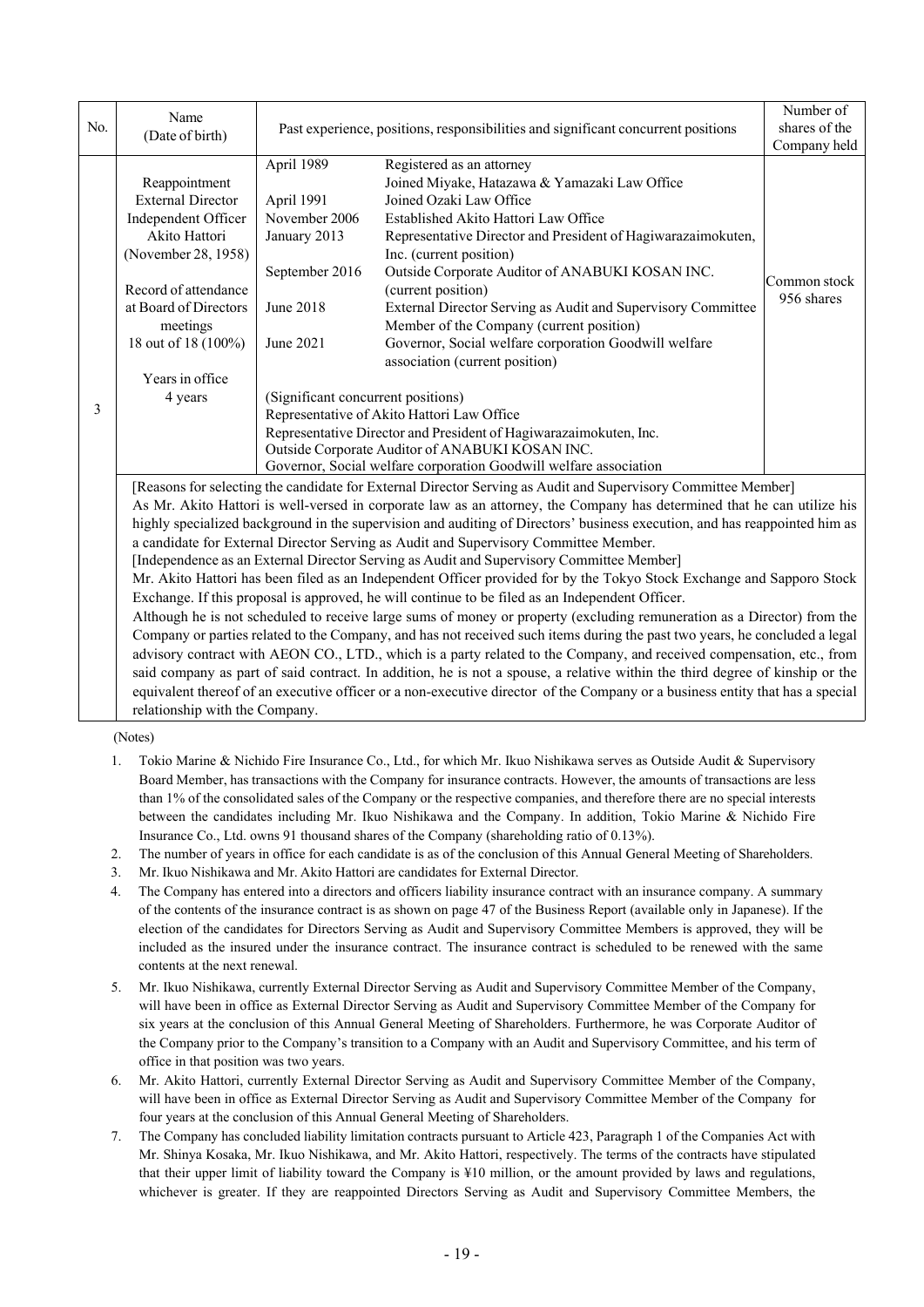| No. | Name                                                                                                                                                                                                            | Past experience, positions, responsibilities and significant concurrent positions                                                                                                                                                                                                                                                                                                                                                                                                                                                                                                                                                                                                                                                                                                                                                                                                                                                                                                                                                                                                                                                                                                                                                                                                                                                                                                                                                         |                                                                                                                                                                                                                                                                                                                                                                                                                                                                                                                          | Number of<br>shares of the |  |  |
|-----|-----------------------------------------------------------------------------------------------------------------------------------------------------------------------------------------------------------------|-------------------------------------------------------------------------------------------------------------------------------------------------------------------------------------------------------------------------------------------------------------------------------------------------------------------------------------------------------------------------------------------------------------------------------------------------------------------------------------------------------------------------------------------------------------------------------------------------------------------------------------------------------------------------------------------------------------------------------------------------------------------------------------------------------------------------------------------------------------------------------------------------------------------------------------------------------------------------------------------------------------------------------------------------------------------------------------------------------------------------------------------------------------------------------------------------------------------------------------------------------------------------------------------------------------------------------------------------------------------------------------------------------------------------------------------|--------------------------------------------------------------------------------------------------------------------------------------------------------------------------------------------------------------------------------------------------------------------------------------------------------------------------------------------------------------------------------------------------------------------------------------------------------------------------------------------------------------------------|----------------------------|--|--|
|     | (Date of birth)                                                                                                                                                                                                 |                                                                                                                                                                                                                                                                                                                                                                                                                                                                                                                                                                                                                                                                                                                                                                                                                                                                                                                                                                                                                                                                                                                                                                                                                                                                                                                                                                                                                                           | Company held                                                                                                                                                                                                                                                                                                                                                                                                                                                                                                             |                            |  |  |
|     | Reappointment<br><b>External Director</b><br>Independent Officer<br>Akito Hattori<br>(November 28, 1958)<br>Record of attendance<br>at Board of Directors<br>meetings<br>18 out of 18 (100%)<br>Years in office | April 1989<br>April 1991<br>November 2006<br>January 2013<br>September 2016<br>June 2018<br>June 2021                                                                                                                                                                                                                                                                                                                                                                                                                                                                                                                                                                                                                                                                                                                                                                                                                                                                                                                                                                                                                                                                                                                                                                                                                                                                                                                                     | Registered as an attorney<br>Joined Miyake, Hatazawa & Yamazaki Law Office<br>Joined Ozaki Law Office<br>Established Akito Hattori Law Office<br>Representative Director and President of Hagiwarazaimokuten,<br>Inc. (current position)<br>Outside Corporate Auditor of ANABUKI KOSAN INC.<br>(current position)<br>External Director Serving as Audit and Supervisory Committee<br>Member of the Company (current position)<br>Governor, Social welfare corporation Goodwill welfare<br>association (current position) | Common stock<br>956 shares |  |  |
| 3   | 4 years                                                                                                                                                                                                         | (Significant concurrent positions)                                                                                                                                                                                                                                                                                                                                                                                                                                                                                                                                                                                                                                                                                                                                                                                                                                                                                                                                                                                                                                                                                                                                                                                                                                                                                                                                                                                                        | Representative of Akito Hattori Law Office<br>Representative Director and President of Hagiwarazaimokuten, Inc.<br>Outside Corporate Auditor of ANABUKI KOSAN INC.<br>Governor, Social welfare corporation Goodwill welfare association                                                                                                                                                                                                                                                                                  |                            |  |  |
|     |                                                                                                                                                                                                                 | [Reasons for selecting the candidate for External Director Serving as Audit and Supervisory Committee Member]<br>As Mr. Akito Hattori is well-versed in corporate law as an attorney, the Company has determined that he can utilize his<br>highly specialized background in the supervision and auditing of Directors' business execution, and has reappointed him as<br>a candidate for External Director Serving as Audit and Supervisory Committee Member.<br>[Independence as an External Director Serving as Audit and Supervisory Committee Member]<br>Mr. Akito Hattori has been filed as an Independent Officer provided for by the Tokyo Stock Exchange and Sapporo Stock<br>Exchange. If this proposal is approved, he will continue to be filed as an Independent Officer.<br>Although he is not scheduled to receive large sums of money or property (excluding remuneration as a Director) from the<br>Company or parties related to the Company, and has not received such items during the past two years, he concluded a legal<br>advisory contract with AEON CO., LTD., which is a party related to the Company, and received compensation, etc., from<br>said company as part of said contract. In addition, he is not a spouse, a relative within the third degree of kinship or the<br>equivalent thereof of an executive officer or a non-executive director of the Company or a business entity that has a special |                                                                                                                                                                                                                                                                                                                                                                                                                                                                                                                          |                            |  |  |

relationship with the Company.

(Notes)

- 1. Tokio Marine & Nichido Fire Insurance Co., Ltd., for which Mr. Ikuo Nishikawa serves as Outside Audit & Supervisory Board Member, has transactions with the Company for insurance contracts. However, the amounts of transactions are less than 1% of the consolidated sales of the Company or the respective companies, and therefore there are no special interests between the candidates including Mr. Ikuo Nishikawa and the Company. In addition, Tokio Marine & Nichido Fire Insurance Co., Ltd. owns 91 thousand shares of the Company (shareholding ratio of 0.13%).
- 2. The number of years in office for each candidate is as of the conclusion of this Annual General Meeting of Shareholders.
- 3. Mr. Ikuo Nishikawa and Mr. Akito Hattori are candidates for External Director.
- 4. The Company has entered into a directors and officers liability insurance contract with an insurance company. A summary of the contents of the insurance contract is as shown on page 47 of the Business Report (available only in Japanese). If the election of the candidates for Directors Serving as Audit and Supervisory Committee Members is approved, they will be included as the insured under the insurance contract. The insurance contract is scheduled to be renewed with the same contents at the next renewal.
- 5. Mr. Ikuo Nishikawa, currently External Director Serving as Audit and Supervisory Committee Member of the Company, will have been in office as External Director Serving as Audit and Supervisory Committee Member of the Company for six years at the conclusion of this Annual General Meeting of Shareholders. Furthermore, he was Corporate Auditor of the Company prior to the Company's transition to a Company with an Audit and Supervisory Committee, and his term of office in that position was two years.
- 6. Mr. Akito Hattori, currently External Director Serving as Audit and Supervisory Committee Member of the Company, will have been in office as External Director Serving as Audit and Supervisory Committee Member of the Company for four years at the conclusion of this Annual General Meeting of Shareholders.
- 7. The Company has concluded liability limitation contracts pursuant to Article 423, Paragraph 1 of the Companies Act with Mr. Shinya Kosaka, Mr. Ikuo Nishikawa, and Mr. Akito Hattori, respectively. The terms of the contracts have stipulated that their upper limit of liability toward the Company is ¥10 million, or the amount provided by laws and regulations, whichever is greater. If they are reappointed Directors Serving as Audit and Supervisory Committee Members, the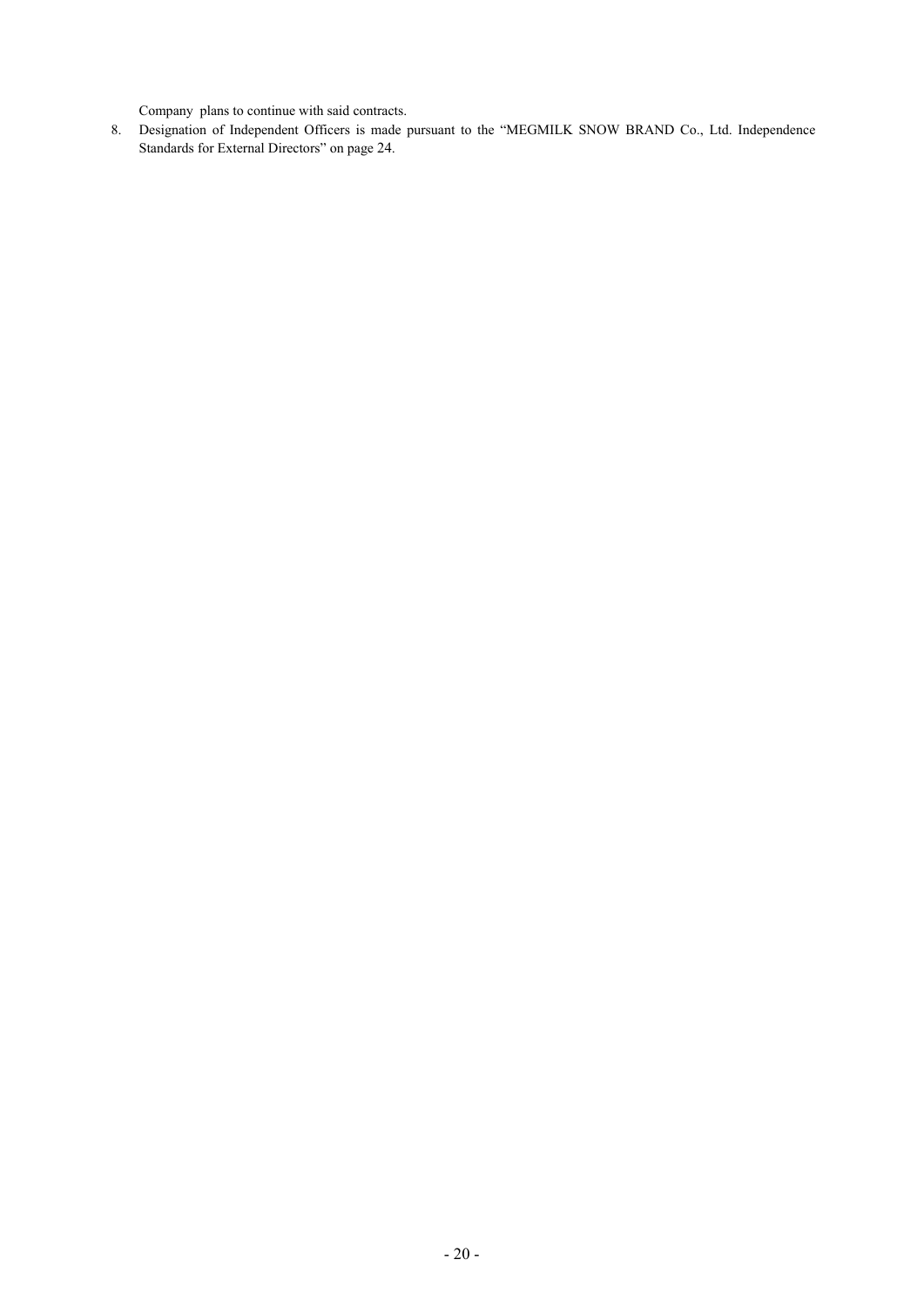Company plans to continue with said contracts.

8. Designation of Independent Officers is made pursuant to the "MEGMILK SNOW BRAND Co., Ltd. Independence Standards for External Directors" on page 24.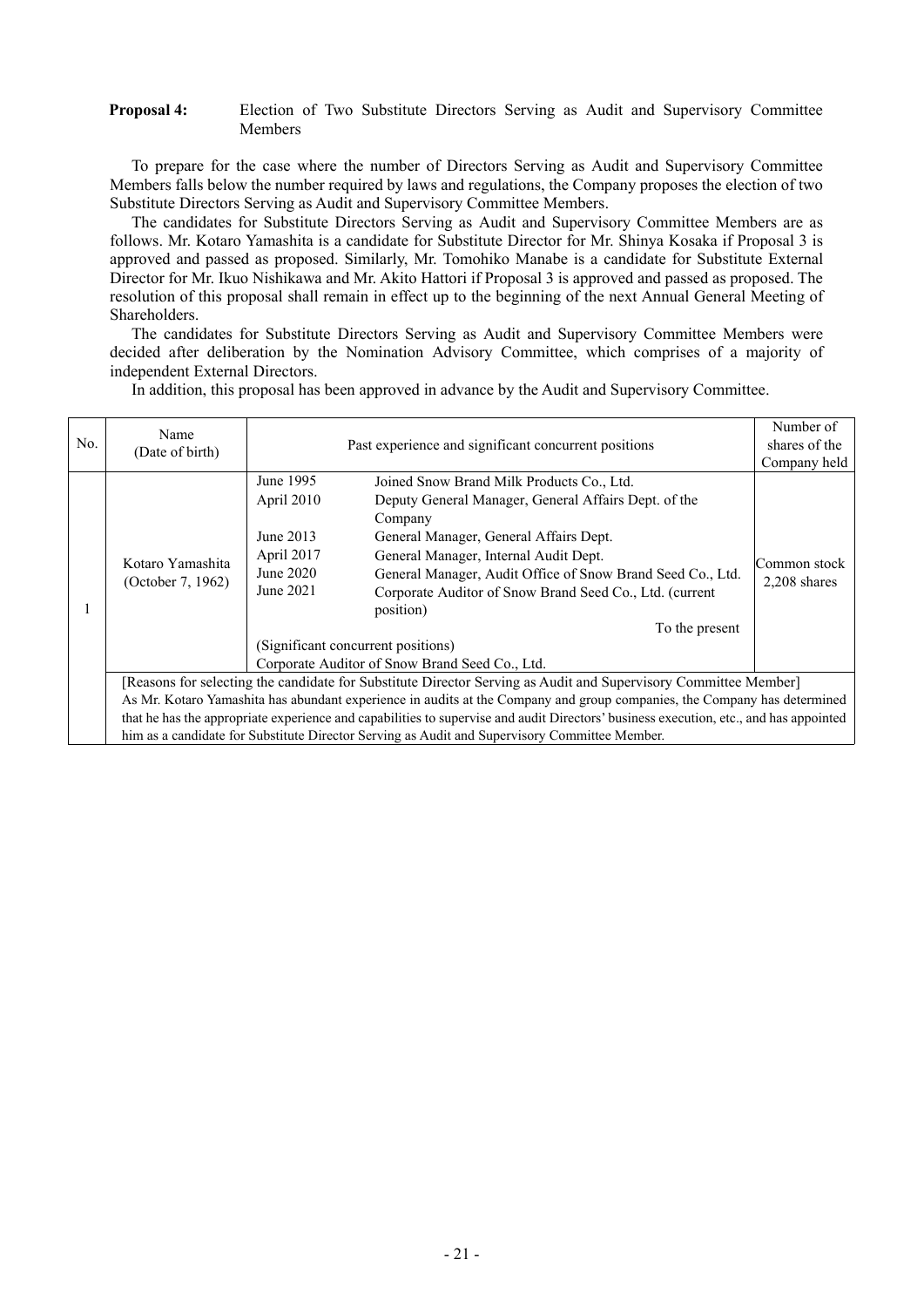### **Proposal 4:** Election of Two Substitute Directors Serving as Audit and Supervisory Committee Members

To prepare for the case where the number of Directors Serving as Audit and Supervisory Committee Members falls below the number required by laws and regulations, the Company proposes the election of two Substitute Directors Serving as Audit and Supervisory Committee Members.

The candidates for Substitute Directors Serving as Audit and Supervisory Committee Members are as follows. Mr. Kotaro Yamashita is a candidate for Substitute Director for Mr. Shinya Kosaka if Proposal 3 is approved and passed as proposed. Similarly, Mr. Tomohiko Manabe is a candidate for Substitute External Director for Mr. Ikuo Nishikawa and Mr. Akito Hattori if Proposal 3 is approved and passed as proposed. The resolution of this proposal shall remain in effect up to the beginning of the next Annual General Meeting of Shareholders.

The candidates for Substitute Directors Serving as Audit and Supervisory Committee Members were decided after deliberation by the Nomination Advisory Committee, which comprises of a majority of independent External Directors.

In addition, this proposal has been approved in advance by the Audit and Supervisory Committee.

| No. | Name                                                                                                                                  | Past experience and significant concurrent positions |                                                                                               | Number of<br>shares of the |  |  |
|-----|---------------------------------------------------------------------------------------------------------------------------------------|------------------------------------------------------|-----------------------------------------------------------------------------------------------|----------------------------|--|--|
|     | (Date of birth)                                                                                                                       |                                                      | Company held                                                                                  |                            |  |  |
|     |                                                                                                                                       |                                                      |                                                                                               |                            |  |  |
|     |                                                                                                                                       | June 1995                                            | Joined Snow Brand Milk Products Co., Ltd.                                                     |                            |  |  |
|     |                                                                                                                                       | April 2010                                           | Deputy General Manager, General Affairs Dept. of the                                          |                            |  |  |
|     |                                                                                                                                       |                                                      | Company                                                                                       |                            |  |  |
|     |                                                                                                                                       | June 2013                                            | General Manager, General Affairs Dept.                                                        |                            |  |  |
|     | Kotaro Yamashita<br>(October 7, 1962)                                                                                                 | April 2017                                           | General Manager, Internal Audit Dept.                                                         |                            |  |  |
|     |                                                                                                                                       | June $2020$                                          | General Manager, Audit Office of Snow Brand Seed Co., Ltd.                                    | Common stock               |  |  |
|     |                                                                                                                                       | June 2021                                            | Corporate Auditor of Snow Brand Seed Co., Ltd. (current                                       | $2,208$ shares             |  |  |
|     |                                                                                                                                       |                                                      | position)                                                                                     |                            |  |  |
|     |                                                                                                                                       |                                                      | To the present                                                                                |                            |  |  |
|     |                                                                                                                                       | (Significant concurrent positions)                   |                                                                                               |                            |  |  |
|     |                                                                                                                                       |                                                      | Corporate Auditor of Snow Brand Seed Co., Ltd.                                                |                            |  |  |
|     | [Reasons for selecting the candidate for Substitute Director Serving as Audit and Supervisory Committee Member]                       |                                                      |                                                                                               |                            |  |  |
|     | As Mr. Kotaro Yamashita has abundant experience in audits at the Company and group companies, the Company has determined              |                                                      |                                                                                               |                            |  |  |
|     | that he has the appropriate experience and capabilities to supervise and audit Directors' business execution, etc., and has appointed |                                                      |                                                                                               |                            |  |  |
|     |                                                                                                                                       |                                                      | him as a candidate for Substitute Director Serving as Audit and Supervisory Committee Member. |                            |  |  |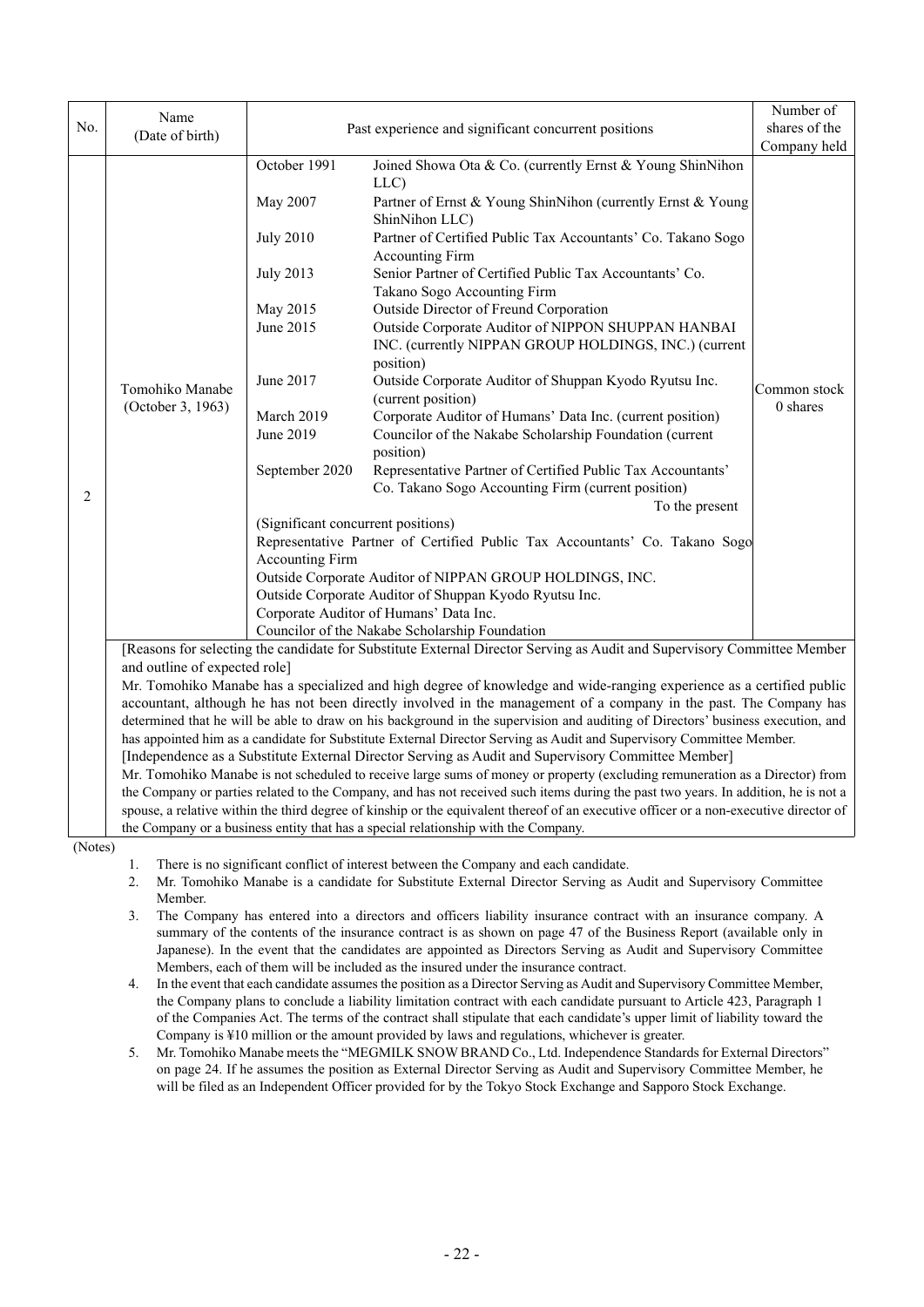|         |                                                                                                                                                                                                                                                                                                                                                                                                                                                                                                 |                                                                                                       |                                                                                                                      | Number of    |  |  |  |
|---------|-------------------------------------------------------------------------------------------------------------------------------------------------------------------------------------------------------------------------------------------------------------------------------------------------------------------------------------------------------------------------------------------------------------------------------------------------------------------------------------------------|-------------------------------------------------------------------------------------------------------|----------------------------------------------------------------------------------------------------------------------|--------------|--|--|--|
| No.     | Name<br>(Date of birth)                                                                                                                                                                                                                                                                                                                                                                                                                                                                         | Past experience and significant concurrent positions                                                  | shares of the                                                                                                        |              |  |  |  |
|         |                                                                                                                                                                                                                                                                                                                                                                                                                                                                                                 |                                                                                                       | Company held                                                                                                         |              |  |  |  |
|         |                                                                                                                                                                                                                                                                                                                                                                                                                                                                                                 | October 1991                                                                                          | Joined Showa Ota & Co. (currently Ernst & Young ShinNihon<br>LLC)                                                    |              |  |  |  |
|         |                                                                                                                                                                                                                                                                                                                                                                                                                                                                                                 | May 2007                                                                                              | Partner of Ernst & Young ShinNihon (currently Ernst & Young<br>ShinNihon LLC)                                        |              |  |  |  |
|         |                                                                                                                                                                                                                                                                                                                                                                                                                                                                                                 | <b>July 2010</b>                                                                                      | Partner of Certified Public Tax Accountants' Co. Takano Sogo<br><b>Accounting Firm</b>                               |              |  |  |  |
|         |                                                                                                                                                                                                                                                                                                                                                                                                                                                                                                 | <b>July 2013</b>                                                                                      | Senior Partner of Certified Public Tax Accountants' Co.<br>Takano Sogo Accounting Firm                               |              |  |  |  |
|         |                                                                                                                                                                                                                                                                                                                                                                                                                                                                                                 | May 2015                                                                                              | Outside Director of Freund Corporation                                                                               |              |  |  |  |
|         |                                                                                                                                                                                                                                                                                                                                                                                                                                                                                                 | June 2015                                                                                             | Outside Corporate Auditor of NIPPON SHUPPAN HANBAI<br>INC. (currently NIPPAN GROUP HOLDINGS, INC.) (current          | Common stock |  |  |  |
|         | Tomohiko Manabe                                                                                                                                                                                                                                                                                                                                                                                                                                                                                 | June 2017                                                                                             | position)<br>Outside Corporate Auditor of Shuppan Kyodo Ryutsu Inc.<br>(current position)                            |              |  |  |  |
|         | (October 3, 1963)                                                                                                                                                                                                                                                                                                                                                                                                                                                                               | March 2019                                                                                            | Corporate Auditor of Humans' Data Inc. (current position)                                                            | 0 shares     |  |  |  |
|         |                                                                                                                                                                                                                                                                                                                                                                                                                                                                                                 | June 2019                                                                                             | Councilor of the Nakabe Scholarship Foundation (current                                                              |              |  |  |  |
|         |                                                                                                                                                                                                                                                                                                                                                                                                                                                                                                 |                                                                                                       | position)                                                                                                            |              |  |  |  |
|         |                                                                                                                                                                                                                                                                                                                                                                                                                                                                                                 | September 2020                                                                                        | Representative Partner of Certified Public Tax Accountants'                                                          |              |  |  |  |
| 2       |                                                                                                                                                                                                                                                                                                                                                                                                                                                                                                 |                                                                                                       | Co. Takano Sogo Accounting Firm (current position)                                                                   |              |  |  |  |
|         |                                                                                                                                                                                                                                                                                                                                                                                                                                                                                                 |                                                                                                       | To the present                                                                                                       |              |  |  |  |
|         |                                                                                                                                                                                                                                                                                                                                                                                                                                                                                                 | (Significant concurrent positions)                                                                    |                                                                                                                      |              |  |  |  |
|         |                                                                                                                                                                                                                                                                                                                                                                                                                                                                                                 | Representative Partner of Certified Public Tax Accountants' Co. Takano Sogo<br><b>Accounting Firm</b> |                                                                                                                      |              |  |  |  |
|         |                                                                                                                                                                                                                                                                                                                                                                                                                                                                                                 | Outside Corporate Auditor of NIPPAN GROUP HOLDINGS, INC.                                              |                                                                                                                      |              |  |  |  |
|         |                                                                                                                                                                                                                                                                                                                                                                                                                                                                                                 | Outside Corporate Auditor of Shuppan Kyodo Ryutsu Inc.                                                |                                                                                                                      |              |  |  |  |
|         |                                                                                                                                                                                                                                                                                                                                                                                                                                                                                                 | Corporate Auditor of Humans' Data Inc.                                                                |                                                                                                                      |              |  |  |  |
|         |                                                                                                                                                                                                                                                                                                                                                                                                                                                                                                 |                                                                                                       |                                                                                                                      |              |  |  |  |
|         | Councilor of the Nakabe Scholarship Foundation<br>[Reasons for selecting the candidate for Substitute External Director Serving as Audit and Supervisory Committee Member                                                                                                                                                                                                                                                                                                                       |                                                                                                       |                                                                                                                      |              |  |  |  |
|         | and outline of expected role]                                                                                                                                                                                                                                                                                                                                                                                                                                                                   |                                                                                                       |                                                                                                                      |              |  |  |  |
|         |                                                                                                                                                                                                                                                                                                                                                                                                                                                                                                 |                                                                                                       | Mr. Tomohiko Manabe has a specialized and high degree of knowledge and wide-ranging experience as a certified public |              |  |  |  |
|         |                                                                                                                                                                                                                                                                                                                                                                                                                                                                                                 |                                                                                                       | accountant, although he has not been directly involved in the management of a company in the past. The Company has   |              |  |  |  |
|         | determined that he will be able to draw on his background in the supervision and auditing of Directors' business execution, and                                                                                                                                                                                                                                                                                                                                                                 |                                                                                                       |                                                                                                                      |              |  |  |  |
|         | has appointed him as a candidate for Substitute External Director Serving as Audit and Supervisory Committee Member.<br>[Independence as a Substitute External Director Serving as Audit and Supervisory Committee Member]<br>Mr. Tomohiko Manabe is not scheduled to receive large sums of money or property (excluding remuneration as a Director) from<br>the Company or parties related to the Company, and has not received such items during the past two years. In addition, he is not a |                                                                                                       |                                                                                                                      |              |  |  |  |
|         |                                                                                                                                                                                                                                                                                                                                                                                                                                                                                                 |                                                                                                       |                                                                                                                      |              |  |  |  |
|         |                                                                                                                                                                                                                                                                                                                                                                                                                                                                                                 |                                                                                                       |                                                                                                                      |              |  |  |  |
|         | spouse, a relative within the third degree of kinship or the equivalent thereof of an executive officer or a non-executive director of                                                                                                                                                                                                                                                                                                                                                          |                                                                                                       |                                                                                                                      |              |  |  |  |
|         |                                                                                                                                                                                                                                                                                                                                                                                                                                                                                                 |                                                                                                       | the Company or a business entity that has a special relationship with the Company.                                   |              |  |  |  |
| (Notes) |                                                                                                                                                                                                                                                                                                                                                                                                                                                                                                 |                                                                                                       |                                                                                                                      |              |  |  |  |
|         | 1.                                                                                                                                                                                                                                                                                                                                                                                                                                                                                              |                                                                                                       | There is no significant conflict of interest between the Company and each candidate.                                 |              |  |  |  |

2. Mr. Tomohiko Manabe is a candidate for Substitute External Director Serving as Audit and Supervisory Committee Member.

- 3. The Company has entered into a directors and officers liability insurance contract with an insurance company. A summary of the contents of the insurance contract is as shown on page 47 of the Business Report (available only in Japanese). In the event that the candidates are appointed as Directors Serving as Audit and Supervisory Committee Members, each of them will be included as the insured under the insurance contract.
- 4. In the event that each candidate assumes the position as a Director Serving as Audit and Supervisory Committee Member, the Company plans to conclude a liability limitation contract with each candidate pursuant to Article 423, Paragraph 1 of the Companies Act. The terms of the contract shall stipulate that each candidate's upper limit of liability toward the Company is ¥10 million or the amount provided by laws and regulations, whichever is greater.
- 5. Mr. Tomohiko Manabe meets the "MEGMILK SNOW BRAND Co., Ltd. Independence Standards for External Directors" on page 24. If he assumes the position as External Director Serving as Audit and Supervisory Committee Member, he will be filed as an Independent Officer provided for by the Tokyo Stock Exchange and Sapporo Stock Exchange.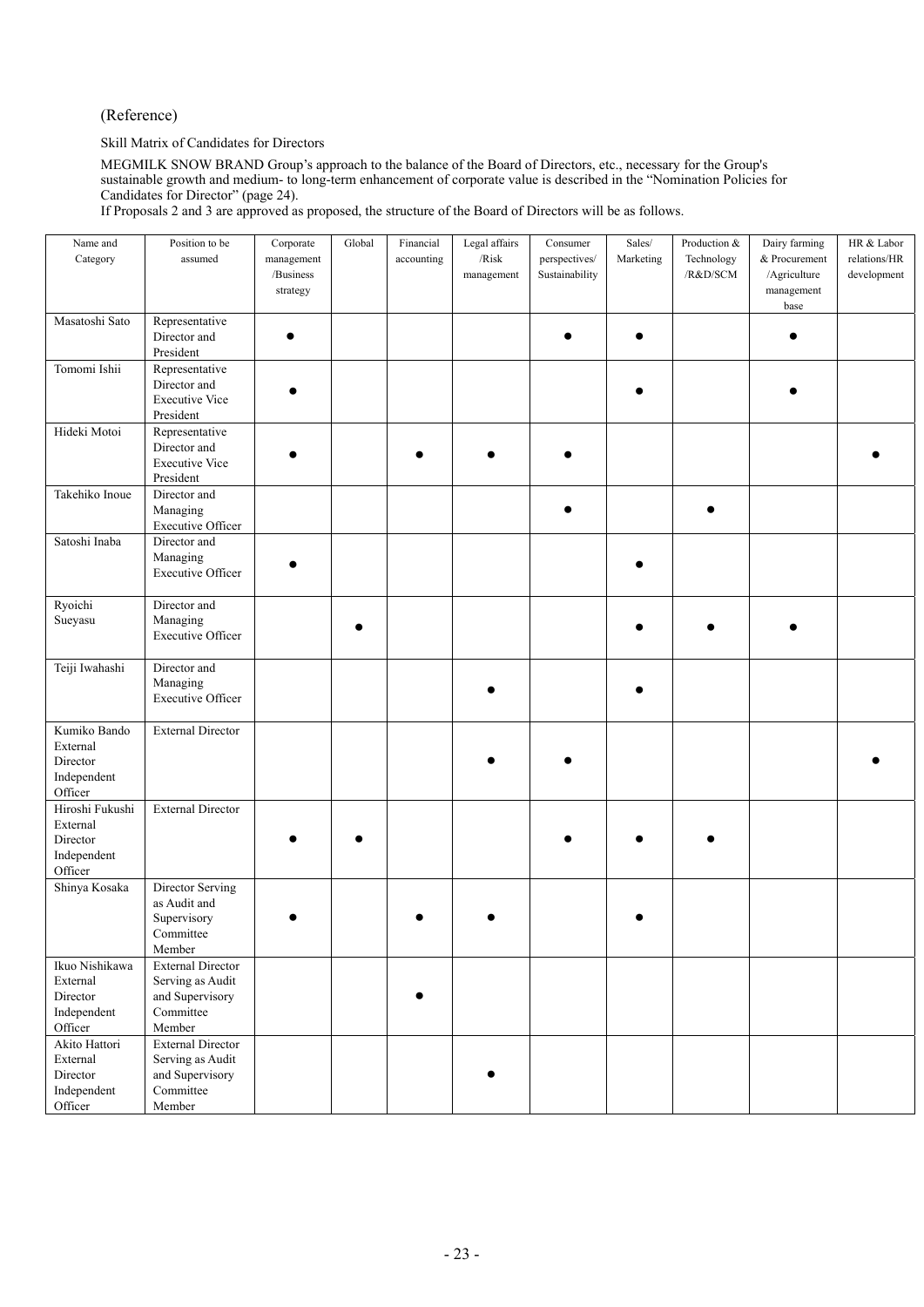## (Reference)

Skill Matrix of Candidates for Directors

MEGMILK SNOW BRAND Group's approach to the balance of the Board of Directors, etc., necessary for the Group's sustainable growth and medium- to long-term enhancement of corporate value is described in the "Nomination Policies for Candidates for Director" (page 24).

If Proposals 2 and 3 are approved as proposed, the structure of the Board of Directors will be as follows.

| Name and<br>Category                                              | Position to be<br>assumed                                                              | Corporate<br>management<br>/Business<br>strategy | Global | Financial<br>accounting | Legal affairs<br>/Risk<br>management | Consumer<br>perspectives/<br>Sustainability | $\operatorname{Sales}/$<br>Marketing | Production &<br>Technology<br>$/\mathrm{R\&D/SCM}$ | Dairy farming<br>& Procurement<br>/Agriculture<br>management<br>base | HR $\&$ Labor<br>relations/HR<br>development |
|-------------------------------------------------------------------|----------------------------------------------------------------------------------------|--------------------------------------------------|--------|-------------------------|--------------------------------------|---------------------------------------------|--------------------------------------|----------------------------------------------------|----------------------------------------------------------------------|----------------------------------------------|
| Masatoshi Sato                                                    | Representative<br>Director and<br>President                                            |                                                  |        |                         |                                      |                                             |                                      |                                                    |                                                                      |                                              |
| Tomomi Ishii                                                      | Representative<br>Director and<br><b>Executive Vice</b><br>President                   |                                                  |        |                         |                                      |                                             |                                      |                                                    |                                                                      |                                              |
| Hideki Motoi                                                      | Representative<br>Director and<br><b>Executive Vice</b><br>President                   |                                                  |        |                         |                                      |                                             |                                      |                                                    |                                                                      |                                              |
| Takehiko Inoue                                                    | Director and<br>Managing<br>Executive Officer                                          |                                                  |        |                         |                                      |                                             |                                      |                                                    |                                                                      |                                              |
| Satoshi Inaba                                                     | Director and<br>Managing<br>Executive Officer                                          |                                                  |        |                         |                                      |                                             |                                      |                                                    |                                                                      |                                              |
| Ryoichi<br>Sueyasu                                                | Director and<br>Managing<br><b>Executive Officer</b>                                   |                                                  |        |                         |                                      |                                             |                                      |                                                    |                                                                      |                                              |
| Teiji Iwahashi                                                    | Director and<br>Managing<br><b>Executive Officer</b>                                   |                                                  |        |                         |                                      |                                             |                                      |                                                    |                                                                      |                                              |
| Kumiko Bando<br>External<br>Director<br>Independent<br>Officer    | <b>External Director</b>                                                               |                                                  |        |                         |                                      |                                             |                                      |                                                    |                                                                      |                                              |
| Hiroshi Fukushi<br>External<br>Director<br>Independent<br>Officer | <b>External Director</b>                                                               |                                                  |        |                         |                                      |                                             |                                      |                                                    |                                                                      |                                              |
| Shinya Kosaka                                                     | Director Serving<br>as Audit and<br>Supervisory<br>Committee<br>Member                 |                                                  |        |                         |                                      |                                             |                                      |                                                    |                                                                      |                                              |
| Ikuo Nishikawa<br>External<br>Director<br>Independent<br>Officer  | <b>External Director</b><br>Serving as Audit<br>and Supervisory<br>Committee<br>Member |                                                  |        |                         |                                      |                                             |                                      |                                                    |                                                                      |                                              |
| Akito Hattori<br>External<br>Director<br>Independent<br>Officer   | <b>External Director</b><br>Serving as Audit<br>and Supervisory<br>Committee<br>Member |                                                  |        |                         |                                      |                                             |                                      |                                                    |                                                                      |                                              |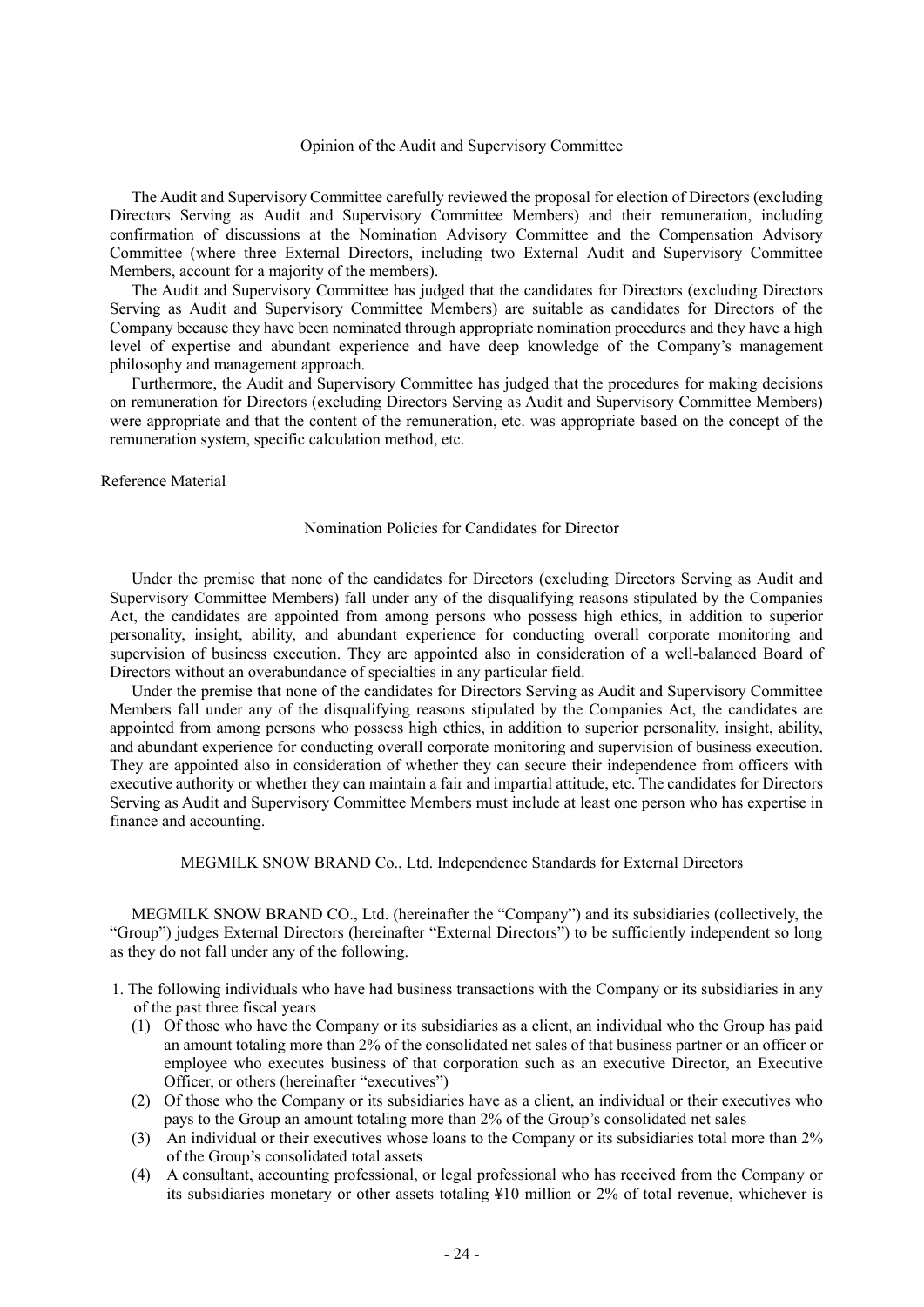### Opinion of the Audit and Supervisory Committee

The Audit and Supervisory Committee carefully reviewed the proposal for election of Directors (excluding Directors Serving as Audit and Supervisory Committee Members) and their remuneration, including confirmation of discussions at the Nomination Advisory Committee and the Compensation Advisory Committee (where three External Directors, including two External Audit and Supervisory Committee Members, account for a majority of the members).

The Audit and Supervisory Committee has judged that the candidates for Directors (excluding Directors Serving as Audit and Supervisory Committee Members) are suitable as candidates for Directors of the Company because they have been nominated through appropriate nomination procedures and they have a high level of expertise and abundant experience and have deep knowledge of the Company's management philosophy and management approach.

Furthermore, the Audit and Supervisory Committee has judged that the procedures for making decisions on remuneration for Directors (excluding Directors Serving as Audit and Supervisory Committee Members) were appropriate and that the content of the remuneration, etc. was appropriate based on the concept of the remuneration system, specific calculation method, etc.

#### Reference Material

#### Nomination Policies for Candidates for Director

Under the premise that none of the candidates for Directors (excluding Directors Serving as Audit and Supervisory Committee Members) fall under any of the disqualifying reasons stipulated by the Companies Act, the candidates are appointed from among persons who possess high ethics, in addition to superior personality, insight, ability, and abundant experience for conducting overall corporate monitoring and supervision of business execution. They are appointed also in consideration of a well-balanced Board of Directors without an overabundance of specialties in any particular field.

Under the premise that none of the candidates for Directors Serving as Audit and Supervisory Committee Members fall under any of the disqualifying reasons stipulated by the Companies Act, the candidates are appointed from among persons who possess high ethics, in addition to superior personality, insight, ability, and abundant experience for conducting overall corporate monitoring and supervision of business execution. They are appointed also in consideration of whether they can secure their independence from officers with executive authority or whether they can maintain a fair and impartial attitude, etc. The candidates for Directors Serving as Audit and Supervisory Committee Members must include at least one person who has expertise in finance and accounting.

MEGMILK SNOW BRAND Co., Ltd. Independence Standards for External Directors

MEGMILK SNOW BRAND CO., Ltd. (hereinafter the "Company") and its subsidiaries (collectively, the "Group") judges External Directors (hereinafter "External Directors") to be sufficiently independent so long as they do not fall under any of the following.

- 1. The following individuals who have had business transactions with the Company or its subsidiaries in any of the past three fiscal years
	- (1) Of those who have the Company or its subsidiaries as a client, an individual who the Group has paid an amount totaling more than 2% of the consolidated net sales of that business partner or an officer or employee who executes business of that corporation such as an executive Director, an Executive Officer, or others (hereinafter "executives")
	- (2) Of those who the Company or its subsidiaries have as a client, an individual or their executives who pays to the Group an amount totaling more than 2% of the Group's consolidated net sales
	- (3) An individual or their executives whose loans to the Company or its subsidiaries total more than 2% of the Group's consolidated total assets
	- (4) A consultant, accounting professional, or legal professional who has received from the Company or its subsidiaries monetary or other assets totaling ¥10 million or 2% of total revenue, whichever is